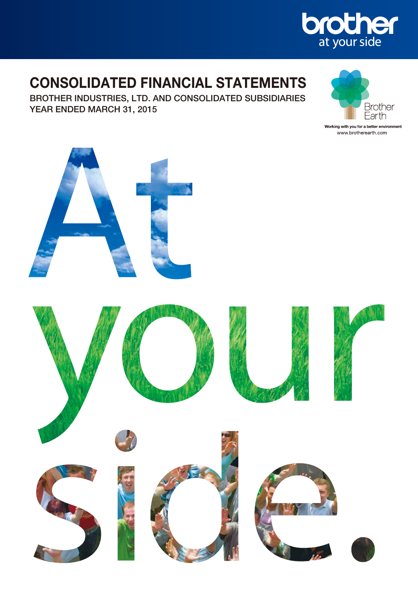

# **CONSOLIDATED FINANCIAL STATEMENTS**

BROTHER INDUSTRIES, LTD. AND CONSOLIDATED SUBSIDIARIES YEAR ENDED MARCH 31, 2015



Working with you for a better environment www.brotherearth.com

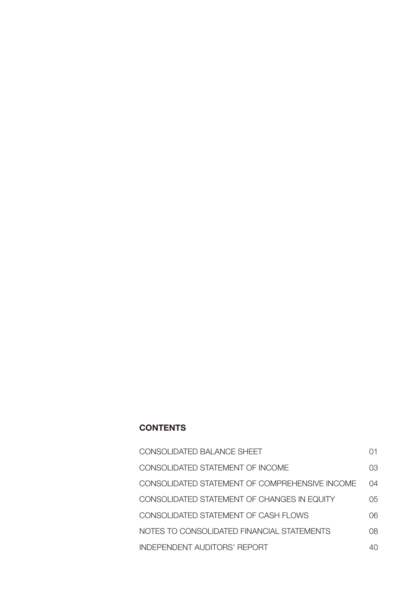# **CONTENTS**

| <b>CONSOLIDATED BALANCE SHEET</b>              |     |
|------------------------------------------------|-----|
| CONSOLIDATED STATEMENT OF INCOME               | 03. |
| CONSOLIDATED STATEMENT OF COMPREHENSIVE INCOME | 04  |
| CONSOLIDATED STATEMENT OF CHANGES IN EQUITY    | 05  |
| CONSOLIDATED STATEMENT OF CASH FLOWS           | 06  |
| NOTES TO CONSOLIDATED FINANCIAL STATEMENTS     | 08. |
| <b>INDEPENDENT AUDITORS' REPORT</b>            | 40  |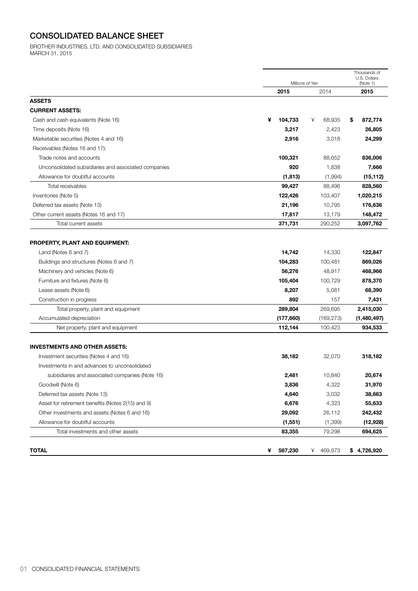# CONSOLIDATED BALANCE SHEET

BROTHER INDUSTRIES, LTD. AND CONSOLIDATED SUBSIDIARIES MARCH 31, 2015

|                                                                                |              | Millions of Yen | Thousands of<br>U.S. Dollars<br>(Note 1) |
|--------------------------------------------------------------------------------|--------------|-----------------|------------------------------------------|
|                                                                                | 2015         | 2014            | 2015                                     |
| <b>ASSETS</b>                                                                  |              |                 |                                          |
| <b>CURRENT ASSETS:</b>                                                         |              |                 |                                          |
| Cash and cash equivalents (Note 16)                                            | ¥<br>104,733 | 68,935<br>¥     | 872,774<br>\$                            |
| Time deposits (Note 16)                                                        | 3,217        | 2,423           | 26,805                                   |
| Marketable securities (Notes 4 and 16)                                         | 2,916        | 3,018           | 24,299                                   |
| Receivables (Notes 16 and 17):                                                 |              |                 |                                          |
| Trade notes and accounts                                                       | 100,321      | 88,652          | 836,006                                  |
| Unconsolidated subsidiaries and associated companies                           | 920          | 1,838           | 7,666                                    |
| Allowance for doubtful accounts                                                | (1, 813)     | (1,994)         | (15, 112)                                |
| Total receivables                                                              | 99,427       | 88,496          | 828,560                                  |
| Inventories (Note 5)                                                           | 122,426      | 103,407         | 1,020,215                                |
| Deferred tax assets (Note 13)                                                  | 21,196       | 10,795          | 176,636                                  |
| Other current assets (Notes 16 and 17)                                         | 17,817       | 13,179          | 148,472                                  |
| Total current assets                                                           | 371,731      | 290,252         | 3,097,762                                |
| <b>PROPERTY, PLANT AND EQUIPMENT:</b><br>Land (Notes 6 and 7)                  | 14,742       | 14,330          | 122,847                                  |
| Buildings and structures (Notes 6 and 7)                                       | 104,283      | 100,481         | 869,026                                  |
| Machinery and vehicles (Note 6)                                                | 56,276       | 48,917          | 468,966                                  |
| Furniture and fixtures (Note 6)                                                | 105,404      | 100,729         | 878,370                                  |
| Lease assets (Note 6)                                                          | 8,207        | 5,081           | 68,390                                   |
| Construction in progress                                                       | 892          | 157             | 7,431                                    |
| Total property, plant and equipment                                            | 289,804      | 269,695         | 2,415,030                                |
| Accumulated depreciation                                                       | (177, 660)   | (169, 273)      | (1,480,497)                              |
| Net property, plant and equipment                                              | 112,144      | 100,423         | 934,533                                  |
| <b>INVESTMENTS AND OTHER ASSETS:</b><br>Investment securities (Notes 4 and 16) | 38,182       | 32,070          | 318,182                                  |
| Investments in and advances to unconsolidated                                  |              |                 |                                          |
| subsidiaries and associated companies (Note 16)                                | 2,481        | 10,840          | 20,674                                   |
| Goodwill (Note 6)                                                              | 3,836        | 4,322           | 31,970                                   |
| Deferred tax assets (Note 13)                                                  | 4,640        | 3,032           | 38,663                                   |
| Asset for retirement benefits (Notes 2(15) and 9)                              | 6,676        | 4,323           | 55,633                                   |
| Other investments and assets (Notes 6 and 16)                                  | 29,092       | 26,112          | 242,432                                  |
| Allowance for doubtful accounts                                                | (1, 551)     | (1,399)         | (12,928)                                 |
| Total investments and other assets                                             | 83,355       | 79,298          | 694,625                                  |
| <b>TOTAL</b>                                                                   | 567,230<br>¥ | 469,973<br>¥    | \$4,726,920                              |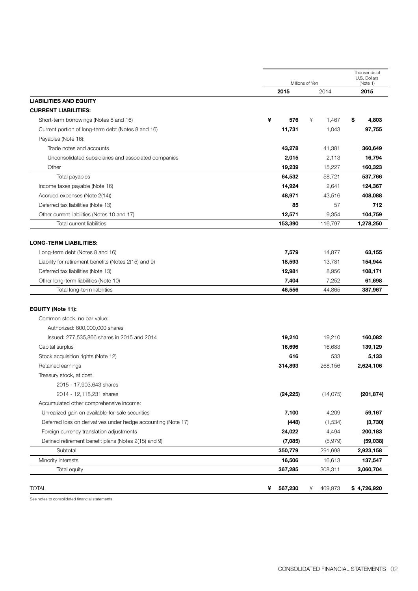|                                                               |              | Thousands of    |                          |
|---------------------------------------------------------------|--------------|-----------------|--------------------------|
|                                                               |              | Millions of Yen | U.S. Dollars<br>(Note 1) |
|                                                               | 2015         | 2014            | 2015                     |
| <b>LIABILITIES AND EQUITY</b>                                 |              |                 |                          |
| <b>CURRENT LIABILITIES:</b>                                   |              |                 |                          |
| Short-term borrowings (Notes 8 and 16)                        | ¥<br>576     | ¥<br>1,467      | \$<br>4,803              |
| Current portion of long-term debt (Notes 8 and 16)            | 11,731       | 1,043           | 97,755                   |
| Payables (Note 16):                                           |              |                 |                          |
| Trade notes and accounts                                      | 43,278       | 41,381          | 360,649                  |
| Unconsolidated subsidiaries and associated companies          | 2,015        | 2,113           | 16,794                   |
| Other                                                         | 19,239       | 15,227          | 160,323                  |
| Total payables                                                | 64,532       | 58,721          | 537,766                  |
| Income taxes payable (Note 16)                                | 14,924       | 2,641           | 124,367                  |
| Accrued expenses (Note 2(14))                                 | 48,971       | 43,516          | 408,088                  |
| Deferred tax liabilities (Note 13)                            | 85           | 57              | 712                      |
| Other current liabilities (Notes 10 and 17)                   | 12,571       | 9,354           | 104,759                  |
| Total current liabilities                                     | 153,390      | 116,797         | 1,278,250                |
|                                                               |              |                 |                          |
| LONG-TERM LIABILITIES:                                        |              |                 |                          |
| Long-term debt (Notes 8 and 16)                               | 7,579        | 14,877          | 63,155                   |
| Liability for retirement benefits (Notes 2(15) and 9)         | 18,593       | 13,781          | 154,944                  |
| Deferred tax liabilities (Note 13)                            | 12,981       | 8,956           | 108,171                  |
| Other long-term liabilities (Note 10)                         | 7,404        | 7,252           | 61,698                   |
| Total long-term liabilities                                   | 46,556       | 44,865          | 387,967                  |
|                                                               |              |                 |                          |
| <b>EQUITY (Note 11):</b>                                      |              |                 |                          |
| Common stock, no par value:                                   |              |                 |                          |
| Authorized: 600,000,000 shares                                |              |                 |                          |
| Issued: 277,535,866 shares in 2015 and 2014                   | 19,210       | 19,210          | 160,082                  |
| Capital surplus                                               | 16,696       | 16,683          | 139,129                  |
| Stock acquisition rights (Note 12)                            | 616          | 533             | 5,133                    |
| Retained earnings                                             | 314,893      | 268,156         | 2,624,106                |
| Treasury stock, at cost                                       |              |                 |                          |
| 2015 - 17,903,643 shares                                      |              |                 |                          |
| 2014 - 12,118,231 shares                                      | (24, 225)    | (14, 075)       | (201, 874)               |
| Accumulated other comprehensive income:                       |              |                 |                          |
| Unrealized gain on available-for-sale securities              | 7,100        | 4,209           | 59,167                   |
| Deferred loss on derivatives under hedge accounting (Note 17) | (448)        | (1,534)         | (3,730)                  |
| Foreign currency translation adjustments                      | 24,022       | 4,494           | 200,183                  |
| Defined retirement benefit plans (Notes 2(15) and 9)          | (7,085)      | (5,979)         | (59,038)                 |
| Subtotal                                                      | 350,779      | 291,698         | 2,923,158                |
| Minority interests                                            | 16,506       | 16,613          | 137,547                  |
| Total equity                                                  | 367,285      | 308,311         | 3,060,704                |
|                                                               |              |                 |                          |
| <b>TOTAL</b>                                                  | 567,230<br>¥ | 469,973<br>¥    | \$4,726,920              |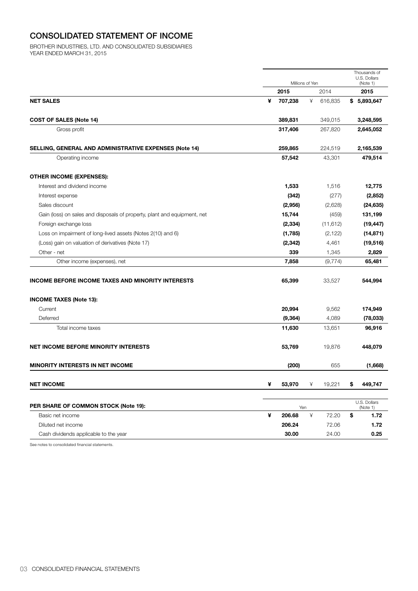# CONSOLIDATED STATEMENT OF INCOME

BROTHER INDUSTRIES, LTD. AND CONSOLIDATED SUBSIDIARIES YEAR ENDED MARCH 31, 2015

|                                                                          |   |                         |   |           | Thousands of<br>U.S. Dollars |
|--------------------------------------------------------------------------|---|-------------------------|---|-----------|------------------------------|
|                                                                          |   | Millions of Yen<br>2015 |   | 2014      | (Note 1)<br>2015             |
|                                                                          | ¥ |                         |   |           |                              |
| <b>NET SALES</b>                                                         |   | 707,238                 | ¥ | 616,835   | \$ 5,893,647                 |
| <b>COST OF SALES (Note 14)</b>                                           |   | 389,831                 |   | 349,015   | 3,248,595                    |
| Gross profit                                                             |   | 317,406                 |   | 267,820   | 2,645,052                    |
| <b>SELLING, GENERAL AND ADMINISTRATIVE EXPENSES (Note 14)</b>            |   | 259,865                 |   | 224,519   | 2,165,539                    |
| Operating income                                                         |   | 57,542                  |   | 43,301    | 479,514                      |
| <b>OTHER INCOME (EXPENSES):</b>                                          |   |                         |   |           |                              |
| Interest and dividend income                                             |   | 1,533                   |   | 1,516     | 12,775                       |
| Interest expense                                                         |   | (342)                   |   | (277)     | (2,852)                      |
| Sales discount                                                           |   | (2,956)                 |   | (2,628)   | (24, 635)                    |
| Gain (loss) on sales and disposals of property, plant and equipment, net |   | 15,744                  |   | (459)     | 131,199                      |
| Foreign exchange loss                                                    |   | (2, 334)                |   | (11, 612) | (19, 447)                    |
| Loss on impairment of long-lived assets (Notes 2(10) and 6)              |   | (1,785)                 |   | (2, 122)  | (14, 871)                    |
| (Loss) gain on valuation of derivatives (Note 17)                        |   | (2, 342)                |   | 4,461     | (19, 516)                    |
| Other - net                                                              |   | 339                     |   | 1,345     | 2,829                        |
| Other income (expenses), net                                             |   | 7,858                   |   | (9,774)   | 65,481                       |
| <b>INCOME BEFORE INCOME TAXES AND MINORITY INTERESTS</b>                 |   | 65,399                  |   | 33,527    | 544,994                      |
| <b>INCOME TAXES (Note 13):</b>                                           |   |                         |   |           |                              |
| Current                                                                  |   | 20,994                  |   | 9,562     | 174,949                      |
| Deferred                                                                 |   | (9, 364)                |   | 4,089     | (78, 033)                    |
| Total income taxes                                                       |   | 11,630                  |   | 13,651    | 96,916                       |
| <b>NET INCOME BEFORE MINORITY INTERESTS</b>                              |   | 53,769                  |   | 19,876    | 448,079                      |
| <b>MINORITY INTERESTS IN NET INCOME</b>                                  |   | (200)                   |   | 655       | (1,668)                      |
| <b>NET INCOME</b>                                                        | ¥ | 53,970                  | ¥ | 19,221    | \$<br>449,747                |
|                                                                          |   |                         |   |           |                              |
| PER SHARE OF COMMON STOCK (Note 19):                                     |   | Yen                     |   |           | U.S. Dollars<br>(Note 1)     |
| Basic net income                                                         | ¥ | 206.68                  | ¥ | 72.20     | \$<br>1.72                   |
| Diluted net income                                                       |   | 206.24                  |   | 72.06     | 1.72                         |
| Cash dividends applicable to the year                                    |   | 30.00                   |   | 24.00     | 0.25                         |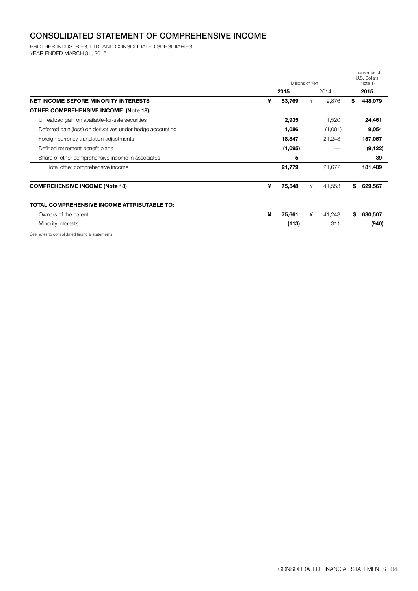# CONSOLIDATED STATEMENT OF COMPREHENSIVE INCOME

BROTHER INDUSTRIES, LTD. AND CONSOLIDATED SUBSIDIARIES YEAR ENDED MARCH 31, 2015

|                                                            |   | Millions of Yen |   |         |    |          |  |
|------------------------------------------------------------|---|-----------------|---|---------|----|----------|--|
|                                                            |   | 2015            |   | 2014    |    | 2015     |  |
| <b>NET INCOME BEFORE MINORITY INTERESTS</b>                | ¥ | 53,769          | ¥ | 19,876  | \$ | 448,079  |  |
| <b>OTHER COMPREHENSIVE INCOME (Note 18):</b>               |   |                 |   |         |    |          |  |
| Unrealized gain on available-for-sale securities           |   | 2,935           |   | 1,520   |    | 24,461   |  |
| Deferred gain (loss) on derivatives under hedge accounting |   | 1,086           |   | (1,091) |    | 9,054    |  |
| Foreign currency translation adjustments                   |   | 18,847          |   | 21,248  |    | 157,057  |  |
| Defined retirement benefit plans                           |   | (1,095)         |   |         |    | (9, 122) |  |
| Share of other comprehensive income in associates          |   | 5               |   |         |    | 39       |  |
| Total other comprehensive income                           |   | 21,779          |   | 21,677  |    | 181,489  |  |
| <b>COMPREHENSIVE INCOME (Note 18)</b>                      | ¥ | 75,548          | ¥ | 41,553  | \$ | 629,567  |  |
| <b>TOTAL COMPREHENSIVE INCOME ATTRIBUTABLE TO:</b>         |   |                 |   |         |    |          |  |
| Owners of the parent                                       | ¥ | 75,661          | ¥ | 41,243  | \$ | 630,507  |  |
| Minority interests                                         |   | (113)           |   | 311     |    | (940)    |  |
|                                                            |   |                 |   |         |    |          |  |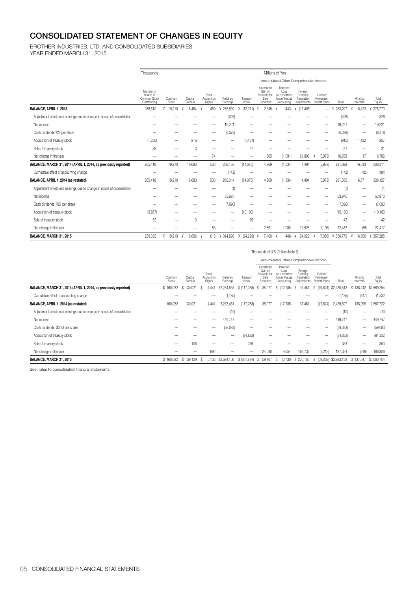# CONSOLIDATED STATEMENT OF CHANGES IN EQUITY

BROTHER INDUSTRIES, LTD. AND CONSOLIDATED SUBSIDIARIES YEAR ENDED MARCH 31, 2015

|                                                                         | Thousands                                             | Millions of Yen          |                    |                                |                          |                   |                                                               |                                                                 |                                                   |                                        |              |                          |                 |
|-------------------------------------------------------------------------|-------------------------------------------------------|--------------------------|--------------------|--------------------------------|--------------------------|-------------------|---------------------------------------------------------------|-----------------------------------------------------------------|---------------------------------------------------|----------------------------------------|--------------|--------------------------|-----------------|
|                                                                         |                                                       |                          |                    |                                |                          |                   |                                                               | Accumulated Other Comprehensive Income                          |                                                   |                                        |              |                          |                 |
|                                                                         | Number of<br>Shares of<br>Common Stock<br>Outstanding | Common<br>Stock          | Capital<br>Surplus | Stock<br>Acquisition<br>Rights | Retained<br>Earnings     | Treasury<br>Stock | Unrealized<br>Gain on<br>Available-for-<br>Sale<br>Securities | Deferred<br>Loss<br>on derivatives<br>Under Hedge<br>Accounting | Foreign<br>Currency<br>Translation<br>Adiustments | Defined<br>Retirement<br>Benefit Plans | Total        | Minority<br>Interests    | Total<br>Equity |
| BALANCE, APRIL 1, 2013                                                  | 266,610                                               | ¥<br>19,210              | 16,464<br>¥        | ¥<br>459                       | 255,639<br>¥             | (12, 971)<br>¥    | ¥<br>2,345                                                    | (443)<br>¥                                                      | ¥<br>(17, 405)                                    | $\overline{\phantom{0}}$               | ¥<br>263,297 | 15,473<br>¥              | 278,770         |
| Adjustment of retained earnings due to change in scope of consolidation |                                                       |                          |                    |                                | (326)                    |                   |                                                               |                                                                 |                                                   |                                        | (326)        |                          | (326)           |
| Net income                                                              |                                                       |                          |                    | -                              | 19,221                   |                   |                                                               |                                                                 |                                                   |                                        | 19,221       |                          | 19,221          |
| Cash dividends,¥24 per share                                            |                                                       |                          |                    | $\overline{\phantom{0}}$       | (6, 378)                 | -                 |                                                               |                                                                 |                                                   | $\overline{\phantom{0}}$               | (6, 378)     | $\qquad \qquad -$        | (6, 378)        |
| Acquisition of treasury stock                                           | (1.230)                                               | $\overline{\phantom{0}}$ | 216                |                                | $\overline{\phantom{0}}$ | (1, 131)          |                                                               |                                                                 |                                                   |                                        | (915)        | 1.122                    | 207             |
| Sale of treasury stock                                                  | 38                                                    | $\overline{\phantom{0}}$ | 3                  | -                              |                          | 27                |                                                               |                                                                 |                                                   |                                        | 31           | $\qquad \qquad -$        | 31              |
| Net change in the year                                                  |                                                       |                          | -                  | 74                             |                          |                   | 1.865                                                         | (1,091)                                                         | 21,899                                            | (5,979)                                | 16,768       | 17                       | 16,786          |
| BALANCE, MARCH 31, 2014 (APRIL 1, 2014, as previously reported)         | 265,418                                               | 19,210                   | 16,683             | 533                            | 268,156                  | (14, 075)         | 4,209                                                         | (1, 534)                                                        | 4,494                                             | (5,979)                                | 291,698      | 16,613                   | 308,311         |
| Cumulative effect of accounting change                                  |                                                       | $\overline{\phantom{0}}$ |                    | $\overline{\phantom{0}}$       | (142)                    |                   |                                                               |                                                                 |                                                   |                                        | (142)        | (42)                     | (184)           |
| BALANCE, APRIL 1, 2014 (as restated)                                    | 265.418                                               | 19,210                   | 16.683             | 533                            | 268.014                  | (14, 075)         | 4.209                                                         | (1, 534)                                                        | 4.494                                             | (5,979)                                | 291.555      | 16,571                   | 308,127         |
| Adjustment of retained earnings due to change in scope of consolidation |                                                       |                          |                    |                                | (1)                      |                   |                                                               |                                                                 |                                                   |                                        | (1)          |                          | (1)             |
| Net income                                                              |                                                       |                          |                    | $\overline{\phantom{0}}$       | 53,970                   |                   |                                                               |                                                                 |                                                   |                                        | 53,970       |                          | 53,970          |
| Cash dividends, ¥27 per share                                           |                                                       |                          |                    | —                              | (7,090)                  |                   |                                                               |                                                                 |                                                   |                                        | (7,090)      | $\qquad \qquad -$        | (7,090)         |
| Acquisition of treasury stock                                           | (5,837)                                               |                          |                    |                                | $\overline{\phantom{0}}$ | (10, 180)         | -                                                             |                                                                 |                                                   |                                        | (10, 180)    | $\overline{\phantom{0}}$ | (10, 180)       |
| Sale of treasury stock                                                  | 52                                                    |                          | 13                 |                                |                          | 29                |                                                               |                                                                 |                                                   |                                        | 42           |                          | 42              |
| Net change in the year                                                  |                                                       |                          |                    | 83                             |                          |                   | 2,891                                                         | 1,086                                                           | 19,528                                            | (1, 106)                               | 22,482       | (66)                     | 22,417          |
| BALANCE, MARCH 31, 2015                                                 | 259.632                                               | 19.210<br>¥              | 16.696             |                                | 616 ¥ 314.893            | (24.225)          | 7.100                                                         | (448)                                                           | 24.022                                            | (7,085)                                | 350.779<br>¥ | 16,506                   | 367.285         |

|                                                                         | Thousands of U.S. Dollars (Note 1) |                    |      |                                |                      |                   |                                                                      |                                                                 |                                                   |                                        |                       |                          |                 |
|-------------------------------------------------------------------------|------------------------------------|--------------------|------|--------------------------------|----------------------|-------------------|----------------------------------------------------------------------|-----------------------------------------------------------------|---------------------------------------------------|----------------------------------------|-----------------------|--------------------------|-----------------|
|                                                                         |                                    |                    |      |                                |                      |                   |                                                                      | Accumulated Other Comprehensive Income                          |                                                   |                                        |                       |                          |                 |
|                                                                         | Common<br>Stock                    | Capital<br>Surplus |      | Stock<br>Acquisition<br>Rights | Retained<br>Earnings | Treasury<br>Stock | Unrealized<br>Gain on<br>Available-for-<br>Sale<br><b>Securities</b> | Deferred<br>Loss<br>on derivatives<br>Under Hedge<br>Accounting | Foreign<br>Currency<br>Translation<br>Adiustments | Defined<br>Retirement<br>Benefit Plans | Total                 | Minority<br>Interests    | Total<br>Equity |
| BALANCE, MARCH 31, 2014 (APRIL 1, 2014, as previously reported)         | \$160,082                          | \$139,021          | - \$ | 4.441                          | \$2,234,635          | \$ (117, 288)     | 35,077<br>S                                                          | \$(12,785)                                                      | \$37,451                                          | (49, 824)                              | \$2,430,813 \$138,442 |                          | \$2,569,254     |
| Cumulative effect of accounting change                                  |                                    |                    |      |                                | (1, 185)             |                   |                                                                      |                                                                 |                                                   |                                        | (1, 185)              | (347)                    | (1, 532)        |
| BALANCE, APRIL 1, 2014 (as restated)                                    | 160,082                            | 139,021            |      | 4,441                          | 2,233,451            | (117, 288)        | 35,077                                                               | (12, 785)                                                       | 37,451                                            | (49, 824)                              | 2,429,627             | 138,095                  | 2,567,722       |
| Adjustment of retained earnings due to change in scope of consolidation |                                    |                    |      |                                | (10)                 |                   |                                                                      |                                                                 |                                                   |                                        | (10)                  | –                        | (10)            |
| Net income                                                              |                                    |                    |      |                                | 449,747              |                   |                                                                      |                                                                 |                                                   |                                        | 449,747               |                          | 449,747         |
| Cash dividends, \$0.23 per share                                        |                                    |                    |      |                                | (59,083)             | –                 |                                                                      |                                                                 |                                                   |                                        | (59,083)              |                          | (59,083)        |
| Acquisition of treasury stock                                           |                                    |                    |      |                                |                      | (84, 832)         |                                                                      |                                                                 |                                                   |                                        | (84, 832)             | $\overline{\phantom{m}}$ | (84, 832)       |
| Sale of treasury stock                                                  |                                    | 108                |      |                                |                      | 246               |                                                                      |                                                                 |                                                   |                                        | 353                   |                          | 353             |
| Net change in the year                                                  |                                    |                    |      | 692                            |                      |                   | 24,090                                                               | 9.054                                                           | 162,732                                           | (9,213)                                | 187.354               | (548)                    | 186,806         |
| BALANCE, MARCH 31, 2015                                                 | \$160,082                          | \$139,129          | - \$ | 5,133                          | \$2,624,106          | $$ (201, 874)$ \; | 59,167                                                               | (3,730)<br>S                                                    | \$200,183                                         | S                                      | (59,038) \$2,923,158  | \$137,547                | \$3,060,704     |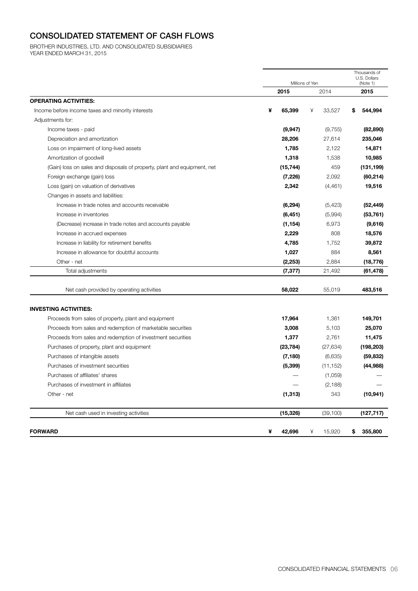# CONSOLIDATED STATEMENT OF CASH FLOWS

BROTHER INDUSTRIES, LTD. AND CONSOLIDATED SUBSIDIARIES YEAR ENDED MARCH 31, 2015

|                                                                          |   | Millions of Yen |   |           |    |            |
|--------------------------------------------------------------------------|---|-----------------|---|-----------|----|------------|
|                                                                          |   | 2015            |   | 2014      |    | 2015       |
| <b>OPERATING ACTIVITIES:</b>                                             |   |                 |   |           |    |            |
| Income before income taxes and minority interests                        | ¥ | 65,399          | ¥ | 33,527    | \$ | 544,994    |
| Adjustments for:                                                         |   |                 |   |           |    |            |
| Income taxes - paid                                                      |   | (9, 947)        |   | (9,755)   |    | (82, 890)  |
| Depreciation and amortization                                            |   | 28,206          |   | 27,614    |    | 235,046    |
| Loss on impairment of long-lived assets                                  |   | 1,785           |   | 2,122     |    | 14,871     |
| Amortization of goodwill                                                 |   | 1,318           |   | 1,538     |    | 10,985     |
| (Gain) loss on sales and disposals of property, plant and equipment, net |   | (15, 744)       |   | 459       |    | (131, 199) |
| Foreign exchange (gain) loss                                             |   | (7, 226)        |   | 2,092     |    | (60, 214)  |
| Loss (gain) on valuation of derivatives                                  |   | 2,342           |   | (4, 461)  |    | 19,516     |
| Changes in assets and liabilities:                                       |   |                 |   |           |    |            |
| Increase in trade notes and accounts receivable                          |   | (6, 294)        |   | (5, 423)  |    | (52, 449)  |
| Increase in inventories                                                  |   | (6, 451)        |   | (5,994)   |    | (53, 761)  |
| (Decrease) increase in trade notes and accounts payable                  |   | (1, 154)        |   | 6,973     |    | (9,616)    |
| Increase in accrued expenses                                             |   | 2,229           |   | 808       |    | 18,576     |
| Increase in liability for retirement benefits                            |   | 4,785           |   | 1,752     |    | 39,872     |
| Increase in allowance for doubtful accounts                              |   | 1,027           |   | 884       |    | 8,561      |
| Other - net                                                              |   | (2, 253)        |   | 2,884     |    | (18, 776)  |
| Total adjustments                                                        |   | (7, 377)        |   | 21,492    |    | (61, 478)  |
| Net cash provided by operating activities                                |   | 58,022          |   | 55,019    |    | 483,516    |
| <b>INVESTING ACTIVITIES:</b>                                             |   |                 |   |           |    |            |
| Proceeds from sales of property, plant and equipment                     |   | 17,964          |   | 1,361     |    | 149,701    |
| Proceeds from sales and redemption of marketable securities              |   | 3,008           |   | 5,103     |    | 25,070     |
| Proceeds from sales and redemption of investment securities              |   | 1,377           |   | 2,761     |    | 11,475     |
| Purchases of property, plant and equipment                               |   | (23, 784)       |   | (27, 634) |    | (198, 203) |
| Purchases of intangible assets                                           |   | (7, 180)        |   | (6,635)   |    | (59, 832)  |
| Purchases of investment securities                                       |   | (5, 399)        |   | (11, 152) |    | (44,988)   |
| Purchases of affiliates' shares                                          |   |                 |   | (1,059)   |    |            |
| Purchases of investment in affiliates                                    |   |                 |   | (2, 188)  |    |            |
| Other - net                                                              |   | (1, 313)        |   | 343       |    | (10, 941)  |
| Net cash used in investing activities                                    |   | (15, 326)       |   | (39, 100) |    | (127, 717) |
| <b>FORWARD</b>                                                           | ¥ | 42.696          | ¥ | 15,920    | \$ | 355,800    |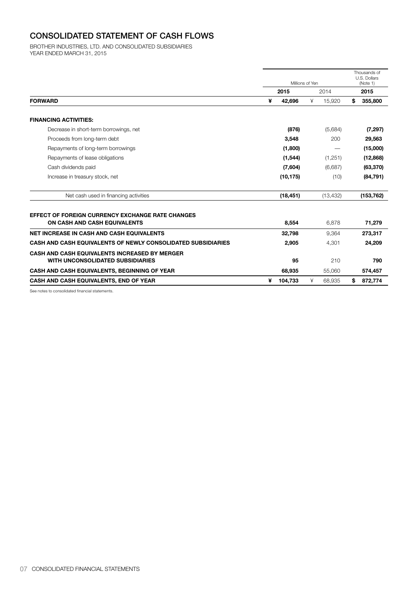# CONSOLIDATED STATEMENT OF CASH FLOWS

BROTHER INDUSTRIES, LTD. AND CONSOLIDATED SUBSIDIARIES YEAR ENDED MARCH 31, 2015

|                                                                                          |   |                 |   |           | Thousands of<br>U.S. Dollars |
|------------------------------------------------------------------------------------------|---|-----------------|---|-----------|------------------------------|
|                                                                                          |   | Millions of Yen |   |           | (Note 1)                     |
|                                                                                          |   | 2015            |   | 2014      | 2015                         |
| <b>FORWARD</b>                                                                           | ¥ | 42,696          | ¥ | 15,920    | \$<br>355,800                |
| <b>FINANCING ACTIVITIES:</b>                                                             |   |                 |   |           |                              |
| Decrease in short-term borrowings, net                                                   |   | (876)           |   | (5,684)   | (7, 297)                     |
| Proceeds from long-term debt                                                             |   | 3,548           |   | 200       | 29,563                       |
| Repayments of long-term borrowings                                                       |   | (1,800)         |   |           | (15,000)                     |
| Repayments of lease obligations                                                          |   | (1,544)         |   | (1, 251)  | (12,868)                     |
| Cash dividends paid                                                                      |   | (7,604)         |   | (6,687)   | (63, 370)                    |
| Increase in treasury stock, net                                                          |   | (10, 175)       |   | (10)      | (84, 791)                    |
| Net cash used in financing activities                                                    |   | (18, 451)       |   | (13, 432) | (153, 762)                   |
| <b>EFFECT OF FOREIGN CURRENCY EXCHANGE RATE CHANGES</b><br>ON CASH AND CASH EQUIVALENTS  |   | 8,554           |   | 6,878     | 71,279                       |
| <b>NET INCREASE IN CASH AND CASH EQUIVALENTS</b>                                         |   | 32,798          |   | 9,364     | 273,317                      |
| CASH AND CASH EQUIVALENTS OF NEWLY CONSOLIDATED SUBSIDIARIES                             |   | 2,905           |   | 4,301     | 24,209                       |
| <b>CASH AND CASH EQUIVALENTS INCREASED BY MERGER</b><br>WITH UNCONSOLIDATED SUBSIDIARIES |   | 95              |   | 210       | 790                          |
| CASH AND CASH EQUIVALENTS, BEGINNING OF YEAR                                             |   | 68,935          |   | 55,060    | 574,457                      |
| CASH AND CASH EQUIVALENTS, END OF YEAR                                                   | ¥ | 104,733         | ¥ | 68,935    | \$<br>872,774                |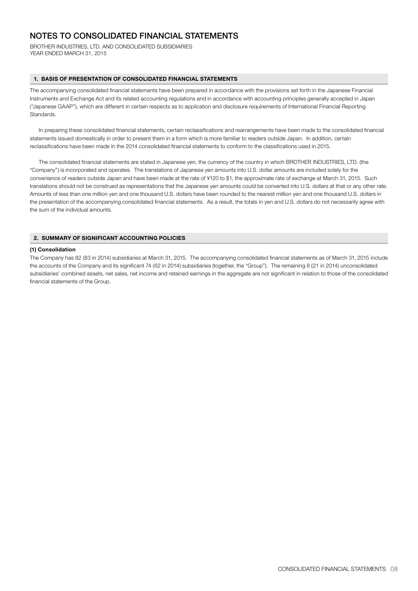BROTHER INDUSTRIES, LTD. AND CONSOLIDATED SUBSIDIARIES YEAR ENDED MARCH 31, 2015

# **1. BASIS OF PRESENTATION OF CONSOLIDATED FINANCIAL STATEMENTS**

The accompanying consolidated financial statements have been prepared in accordance with the provisions set forth in the Japanese Financial Instruments and Exchange Act and its related accounting regulations and in accordance with accounting principles generally accepted in Japan ("Japanese GAAP"), which are different in certain respects as to application and disclosure requirements of International Financial Reporting **Standards** 

In preparing these consolidated financial statements, certain reclassifications and rearrangements have been made to the consolidated financial statements issued domestically in order to present them in a form which is more familiar to readers outside Japan. In addition, certain reclassifications have been made in the 2014 consolidated financial statements to conform to the classifications used in 2015.

The consolidated financial statements are stated in Japanese yen, the currency of the country in which BROTHER INDUSTRIES, LTD. (the "Company") is incorporated and operates. The translations of Japanese yen amounts into U.S. dollar amounts are included solely for the convenience of readers outside Japan and have been made at the rate of ¥120 to \$1, the approximate rate of exchange at March 31, 2015. Such translations should not be construed as representations that the Japanese yen amounts could be converted into U.S. dollars at that or any other rate. Amounts of less than one million yen and one thousand U.S. dollars have been rounded to the nearest million yen and one thousand U.S. dollars in the presentation of the accompanying consolidated financial statements. As a result, the totals in yen and U.S. dollars do not necessarily agree with the sum of the individual amounts.

# **2. SUMMARY OF SIGNIFICANT ACCOUNTING POLICIES**

## **(1) Consolidation**

The Company has 82 (83 in 2014) subsidiaries at March 31, 2015. The accompanying consolidated financial statements as of March 31, 2015 include the accounts of the Company and its significant 74 (62 in 2014) subsidiaries (together, the "Group"). The remaining 8 (21 in 2014) unconsolidated subsidiaries' combined assets, net sales, net income and retained earnings in the aggregate are not significant in relation to those of the consolidated financial statements of the Group.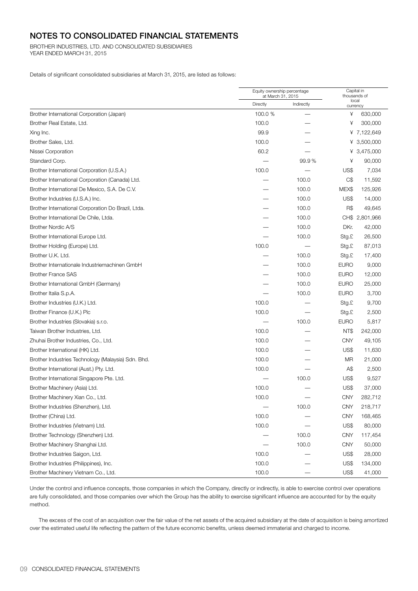BROTHER INDUSTRIES, LTD. AND CONSOLIDATED SUBSIDIARIES YEAR ENDED MARCH 31, 2015

Details of significant consolidated subsidiaries at March 31, 2015, are listed as follows:

|                                                    | Equity ownership percentage<br>at March 31, 2015 |            | Capital in<br>thousands of |                |
|----------------------------------------------------|--------------------------------------------------|------------|----------------------------|----------------|
|                                                    | Directly                                         | Indirectly | local<br>currency          |                |
| Brother International Corporation (Japan)          | 100.0 %                                          |            | ¥                          | 630,000        |
| Brother Real Estate, Ltd.                          | 100.0                                            |            | ¥                          | 300,000        |
| Xing Inc.                                          | 99.9                                             |            |                            | ¥ 7,122,649    |
| Brother Sales, Ltd.                                | 100.0                                            |            |                            | ¥ 3,500,000    |
| Nissei Corporation                                 | 60.2                                             |            |                            | ¥ 3,475,000    |
| Standard Corp.                                     |                                                  | 99.9%      | ¥                          | 90,000         |
| Brother International Corporation (U.S.A.)         | 100.0                                            |            | US\$                       | 7,034          |
| Brother International Corporation (Canada) Ltd.    |                                                  | 100.0      | C\$                        | 11,592         |
| Brother International De Mexico, S.A. De C.V.      |                                                  | 100.0      | MEX\$                      | 125,926        |
| Brother Industries (U.S.A.) Inc.                   |                                                  | 100.0      | US\$                       | 14,000         |
| Brother International Corporation Do Brazil, Ltda. |                                                  | 100.0      | R\$                        | 49,645         |
| Brother International De Chile, Ltda.              |                                                  | 100.0      |                            | CH\$ 2,801,966 |
| Brother Nordic A/S                                 |                                                  | 100.0      | DKr.                       | 42,000         |
| Brother International Europe Ltd.                  |                                                  | 100.0      | Stg.£                      | 26,500         |
| Brother Holding (Europe) Ltd.                      | 100.0                                            |            | Stg.£                      | 87,013         |
| Brother U.K. Ltd.                                  |                                                  | 100.0      | Stg.£                      | 17,400         |
| Brother Internationale Industriemachinen GmbH      |                                                  | 100.0      | <b>EURO</b>                | 9,000          |
| <b>Brother France SAS</b>                          |                                                  | 100.0      | <b>EURO</b>                | 12,000         |
| Brother International GmbH (Germany)               |                                                  | 100.0      | <b>EURO</b>                | 25,000         |
| Brother Italia S.p.A.                              |                                                  | 100.0      | <b>EURO</b>                | 3,700          |
| Brother Industries (U.K.) Ltd.                     | 100.0                                            |            | Stg.£                      | 9,700          |
| Brother Finance (U.K.) Plc                         | 100.0                                            |            | Stg.£                      | 2,500          |
| Brother Industries (Slovakia) s.r.o.               |                                                  | 100.0      | <b>EURO</b>                | 5,817          |
| Taiwan Brother Industries, Ltd.                    | 100.0                                            |            | NT\$                       | 242,000        |
| Zhuhai Brother Industries, Co., Ltd.               | 100.0                                            |            | <b>CNY</b>                 | 49,105         |
| Brother International (HK) Ltd.                    | 100.0                                            |            | US\$                       | 11,630         |
| Brother Industries Technology (Malaysia) Sdn. Bhd. | 100.0                                            |            | ΜR                         | 21,000         |
| Brother International (Aust.) Pty. Ltd.            | 100.0                                            |            | A\$                        | 2,500          |
| Brother International Singapore Pte. Ltd.          |                                                  | 100.0      | US\$                       | 9,527          |
| Brother Machinery (Asia) Ltd.                      | 100.0                                            |            | US\$                       | 37,000         |
| Brother Machinery Xian Co., Ltd.                   | 100.0                                            |            | <b>CNY</b>                 | 282,712        |
| Brother Industries (Shenzhen), Ltd.                |                                                  | 100.0      | <b>CNY</b>                 | 218,717        |
| Brother (China) Ltd.                               | 100.0                                            |            | <b>CNY</b>                 | 168,465        |
| Brother Industries (Vietnam) Ltd.                  | 100.0                                            |            | US\$                       | 80,000         |
| Brother Technology (Shenzhen) Ltd.                 |                                                  | 100.0      | <b>CNY</b>                 | 117,454        |
| Brother Machinery Shanghai Ltd.                    |                                                  | 100.0      | <b>CNY</b>                 | 50,000         |
| Brother Industries Saigon, Ltd.                    | 100.0                                            |            | US\$                       | 28,000         |
| Brother Industries (Philippines), Inc.             | 100.0                                            |            | US\$                       | 134,000        |
| Brother Machinery Vietnam Co., Ltd.                | 100.0                                            |            | US\$                       | 41,000         |

Under the control and influence concepts, those companies in which the Company, directly or indirectly, is able to exercise control over operations are fully consolidated, and those companies over which the Group has the ability to exercise significant influence are accounted for by the equity method.

The excess of the cost of an acquisition over the fair value of the net assets of the acquired subsidiary at the date of acquisition is being amortized over the estimated useful life reflecting the pattern of the future economic benefits, unless deemed immaterial and charged to income.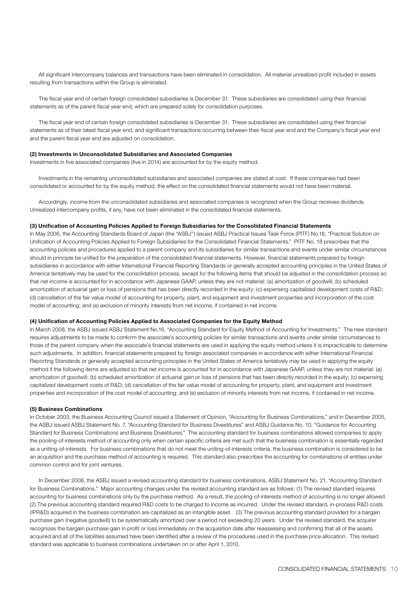All significant intercompany balances and transactions have been eliminated in consolidation. All material unrealized profit included in assets resulting from transactions within the Group is eliminated.

The fiscal year end of certain foreign consolidated subsidiaries is December 31. These subsidiaries are consolidated using their financial statements as of the parent fiscal year end, which are prepared solely for consolidation purposes.

The fiscal year end of certain foreign consolidated subsidiaries is December 31. These subsidiaries are consolidated using their financial statements as of their latest fiscal year end, and significant transactions occurring between their fiscal year end and the Company's fiscal year end and the parent fiscal year end are adjusted on consolidation.

### **(2) Investments in Unconsolidated Subsidiaries and Associated Companies**

Investments in five associated companies (five in 2014) are accounted for by the equity method.

Investments in the remaining unconsolidated subsidiaries and associated companies are stated at cost. If these companies had been consolidated or accounted for by the equity method, the effect on the consolidated financial statements would not have been material.

Accordingly, income from the unconsolidated subsidiaries and associated companies is recognized when the Group receives dividends. Unrealized intercompany profits, if any, have not been eliminated in the consolidated financial statements.

#### **(3) Unification of Accounting Policies Applied to Foreign Subsidiaries for the Consolidated Financial Statements**

In May 2006, the Accounting Standards Board of Japan (the "ASBJ") issued ASBJ Practical Issues Task Force (PITF) No.18, "Practical Solution on Unification of Accounting Policies Applied to Foreign Subsidiaries for the Consolidated Financial Statements." PITF No. 18 prescribes that the accounting policies and procedures applied to a parent company and its subsidiaries for similar transactions and events under similar circumstances should in principle be unified for the preparation of the consolidated financial statements. However, financial statements prepared by foreign subsidiaries in accordance with either International Financial Reporting Standards or generally accepted accounting principles in the United States of America tentatively may be used for the consolidation process, except for the following items that should be adjusted in the consolidation process so that net income is accounted for in accordance with Japanese GAAP, unless they are not material: (a) amortization of goodwill; (b) scheduled amortization of actuarial gain or loss of pensions that has been directly recorded in the equity; (c) expensing capitalized development costs of R&D; (d) cancellation of the fair value model of accounting for property, plant, and equipment and investment properties and incorporation of the cost model of accounting; and (e) exclusion of minority interests from net income, if contained in net income.

## **(4) Unification of Accounting Policies Applied to Associated Companies for the Equity Method**

In March 2008, the ASBJ issued ASBJ Statement No.16, "Accounting Standard for Equity Method of Accounting for Investments." The new standard requires adjustments to be made to conform the associate's accounting policies for similar transactions and events under similar circumstances to those of the parent company when the associate's financial statements are used in applying the equity method unless it is impracticable to determine such adjustments. In addition, financial statements prepared by foreign associated companies in accordance with either International Financial Reporting Standards or generally accepted accounting principles in the United States of America tentatively may be used in applying the equity method if the following items are adjusted so that net income is accounted for in accordance with Japanese GAAP, unless they are not material: (a) amortization of goodwill; (b) scheduled amortization of actuarial gain or loss of pensions that has been directly recorded in the equity; (c) expensing capitalized development costs of R&D; (d) cancellation of the fair value model of accounting for property, plant, and equipment and investment properties and incorporation of the cost model of accounting; and (e) exclusion of minority interests from net income, if contained in net income.

#### **(5) Business Combinations**

In October 2003, the Business Accounting Council issued a Statement of Opinion, "Accounting for Business Combinations," and in December 2005, the ASBJ issued ASBJ Statement No. 7, "Accounting Standard for Business Divestitures" and ASBJ Guidance No. 10, "Guidance for Accounting Standard for Business Combinations and Business Divestitures." The accounting standard for business combinations allowed companies to apply the pooling-of-interests method of accounting only when certain specific criteria are met such that the business combination is essentially regarded as a uniting-of-interests. For business combinations that do not meet the uniting-of-interests criteria, the business combination is considered to be an acquisition and the purchase method of accounting is required. This standard also prescribes the accounting for combinations of entities under common control and for joint ventures.

In December 2008, the ASBJ issued a revised accounting standard for business combinations, ASBJ Statement No. 21, "Accounting Standard for Business Combinations." Major accounting changes under the revised accounting standard are as follows: (1) The revised standard requires accounting for business combinations only by the purchase method. As a result, the pooling-of-interests method of accounting is no longer allowed. (2) The previous accounting standard required R&D costs to be charged to income as incurred. Under the revised standard, in-process R&D costs (IPR&D) acquired in the business combination are capitalized as an intangible asset. (3) The previous accounting standard provided for a bargain purchase gain (negative goodwill) to be systematically amortized over a period not exceeding 20 years. Under the revised standard, the acquirer recognizes the bargain purchase gain in profit or loss immediately on the acquisition date after reassessing and confirming that all of the assets acquired and all of the liabilities assumed have been identified after a review of the procedures used in the purchase price allocation. This revised standard was applicable to business combinations undertaken on or after April 1, 2010.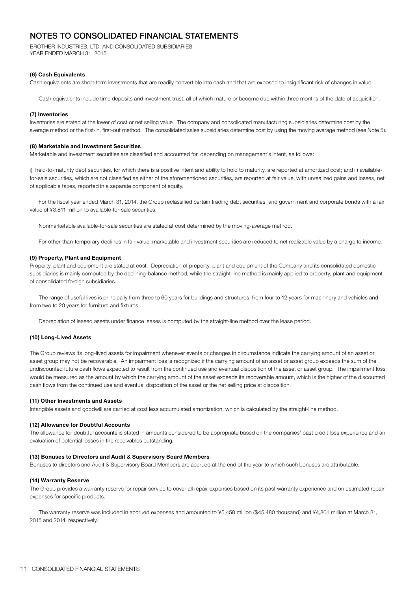BROTHER INDUSTRIES, LTD. AND CONSOLIDATED SUBSIDIARIES YEAR ENDED MARCH 31, 2015

# **(6) Cash Equivalents**

Cash equivalents are short-term investments that are readily convertible into cash and that are exposed to insignificant risk of changes in value.

Cash equivalents include time deposits and investment trust, all of which mature or become due within three months of the date of acquisition.

## **(7) Inventories**

Inventories are stated at the lower of cost or net selling value. The company and consolidated manufacturing subsidiaries determine cost by the average method or the first-in, first-out method. The consolidated sales subsidiaries determine cost by using the moving average method (see Note 5).

#### **(8) Marketable and Investment Securities**

Marketable and investment securities are classified and accounted for, depending on management's intent, as follows:

i) held-to-maturity debt securities, for which there is a positive intent and ability to hold to maturity, are reported at amortized cost; and ii) availablefor-sale securities, which are not classified as either of the aforementioned securities, are reported at fair value, with unrealized gains and losses, net of applicable taxes, reported in a separate component of equity.

For the fiscal year ended March 31, 2014, the Group reclassified certain trading debt securities, and government and corporate bonds with a fair value of ¥3,811 million to available-for-sale securities.

Nonmarketable available-for-sale securities are stated at cost determined by the moving-average method.

For other-than-temporary declines in fair value, marketable and investment securities are reduced to net realizable value by a charge to income.

#### **(9) Property, Plant and Equipment**

Property, plant and equipment are stated at cost. Depreciation of property, plant and equipment of the Company and its consolidated domestic subsidiaries is mainly computed by the declining-balance method, while the straight-line method is mainly applied to property, plant and equipment of consolidated foreign subsidiaries.

The range of useful lives is principally from three to 60 years for buildings and structures, from four to 12 years for machinery and vehicles and from two to 20 years for furniture and fixtures.

Depreciation of leased assets under finance leases is computed by the straight-line method over the lease period.

#### **(10) Long-Lived Assets**

The Group reviews its long-lived assets for impairment whenever events or changes in circumstance indicate the carrying amount of an asset or asset group may not be recoverable. An impairment loss is recognized if the carrying amount of an asset or asset group exceeds the sum of the undiscounted future cash flows expected to result from the continued use and eventual disposition of the asset or asset group. The impairment loss would be measured as the amount by which the carrying amount of the asset exceeds its recoverable amount, which is the higher of the discounted cash flows from the continued use and eventual disposition of the asset or the net selling price at disposition.

#### **(11) Other Investments and Assets**

Intangible assets and goodwill are carried at cost less accumulated amortization, which is calculated by the straight-line method.

### **(12) Allowance for Doubtful Accounts**

The allowance for doubtful accounts is stated in amounts considered to be appropriate based on the companies' past credit loss experience and an evaluation of potential losses in the receivables outstanding.

# **(13) Bonuses to Directors and Audit & Supervisory Board Members**

Bonuses to directors and Audit & Supervisory Board Members are accrued at the end of the year to which such bonuses are attributable.

# **(14) Warranty Reserve**

The Group provides a warranty reserve for repair service to cover all repair expenses based on its past warranty experience and on estimated repair expenses for specific products.

The warranty reserve was included in accrued expenses and amounted to ¥5,458 million (\$45,480 thousand) and ¥4,801 million at March 31, 2015 and 2014, respectively.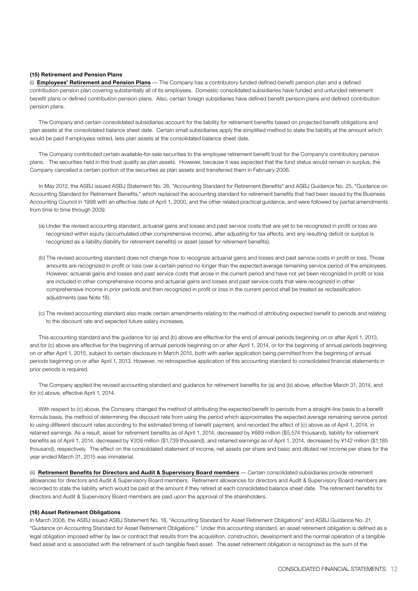# **(15) Retirement and Pension Plans**

(i) **Employees' Retirement and Pension Plans** – The Company has a contributory funded defined benefit pension plan and a defined contribution pension plan covering substantially all of its employees. Domestic consolidated subsidiaries have funded and unfunded retirement benefit plans or defined contribution pension plans. Also, certain foreign subsidiaries have defined benefit pension plans and defined contribution pension plans.

The Company and certain consolidated subsidiaries account for the liability for retirement benefits based on projected benefit obligations and plan assets at the consolidated balance sheet date. Certain small subsidiaries apply the simplified method to state the liability at the amount which would be paid if employees retired, less plan assets at the consolidated balance sheet date.

The Company contributed certain available-for-sale securities to the employee retirement benefit trust for the Company's contributory pension plans. The securities held in this trust qualify as plan assets. However, because it was expected that the fund status would remain in surplus, the Company cancelled a certain portion of the securities as plan assets and transferred them in February 2006.

In May 2012, the ASBJ issued ASBJ Statement No. 26, "Accounting Standard for Retirement Benefits" and ASBJ Guidance No. 25, "Guidance on Accounting Standard for Retirement Benefits," which replaced the accounting standard for retirement benefits that had been issued by the Business Accounting Council in 1998 with an effective date of April 1, 2000, and the other related practical guidance, and were followed by partial amendments from time to time through 2009.

- (a) Under the revised accounting standard, actuarial gains and losses and past service costs that are yet to be recognized in profit or loss are recognized within equity (accumulated other comprehensive income), after adjusting for tax effects, and any resulting deficit or surplus is recognized as a liability (liability for retirement benefits) or asset (asset for retirement benefits).
- (b) The revised accounting standard does not change how to recognize actuarial gains and losses and past service costs in profit or loss. Those amounts are recognized in profit or loss over a certain period no longer than the expected average remaining service period of the employees. However, actuarial gains and losses and past service costs that arose in the current period and have not yet been recognized in profit or loss are included in other comprehensive income and actuarial gains and losses and past service costs that were recognized in other comprehensive income in prior periods and then recognized in profit or loss in the current period shall be treated as reclassification adjustments (see Note 18).
- (c) The revised accounting standard also made certain amendments relating to the method of attributing expected benefit to periods and relating to the discount rate and expected future salary increases.

This accounting standard and the guidance for (a) and (b) above are effective for the end of annual periods beginning on or after April 1, 2013, and for (c) above are effective for the beginning of annual periods beginning on or after April 1, 2014, or for the beginning of annual periods beginning on or after April 1, 2015, subject to certain disclosure in March 2015, both with earlier application being permitted from the beginning of annual periods beginning on or after April 1, 2013. However, no retrospective application of this accounting standard to consolidated financial statements in prior periods is required.

The Company applied the revised accounting standard and guidance for retirement benefits for (a) and (b) above, effective March 31, 2014, and for (c) above, effective April 1, 2014.

With respect to (c) above, the Company changed the method of attributing the expected benefit to periods from a straight-line basis to a benefit formula basis, the method of determining the discount rate from using the period which approximates the expected average remaining service period to using different discount rates according to the estimated timing of benefit payment, and recorded the effect of (c) above as of April 1, 2014, in retained earnings. As a result, asset for retirement benefits as of April 1, 2014, decreased by ¥669 million (\$5,574 thousand), liability for retirement benefits as of April 1, 2014, decreased by ¥209 million (\$1,739 thousand), and retained earnings as of April 1, 2014, decreased by ¥142 million (\$1,185 thousand), respectively. The effect on the consolidated statement of income, net assets per share and basic and diluted net income per share for the year ended March 31, 2015 was immaterial.

(ii) **Retirement Benefits for Directors and Audit & Supervisory Board members** – Certain consolidated subsidiaries provide retirement allowances for directors and Audit & Supervisory Board members. Retirement allowances for directors and Audit & Supervisory Board members are recorded to state the liability which would be paid at the amount if they retired at each consolidated balance sheet date. The retirement benefits for directors and Audit & Supervisory Board members are paid upon the approval of the shareholders.

## **(16) Asset Retirement Obligations**

In March 2008, the ASBJ issued ASBJ Statement No. 18, "Accounting Standard for Asset Retirement Obligations" and ASBJ Guidance No. 21, "Guidance on Accounting Standard for Asset Retirement Obligations." Under this accounting standard, an asset retirement obligation is defined as a legal obligation imposed either by law or contract that results from the acquisition, construction, development and the normal operation of a tangible fixed asset and is associated with the retirement of such tangible fixed asset. The asset retirement obligation is recognized as the sum of the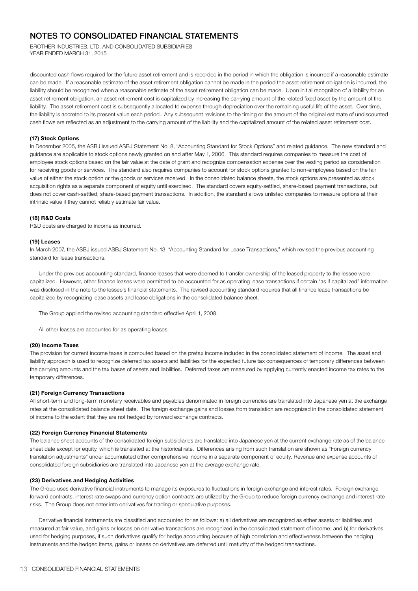BROTHER INDUSTRIES, LTD. AND CONSOLIDATED SUBSIDIARIES YEAR ENDED MARCH 31, 2015

discounted cash flows required for the future asset retirement and is recorded in the period in which the obligation is incurred if a reasonable estimate can be made. If a reasonable estimate of the asset retirement obligation cannot be made in the period the asset retirement obligation is incurred, the liability should be recognized when a reasonable estimate of the asset retirement obligation can be made. Upon initial recognition of a liability for an asset retirement obligation, an asset retirement cost is capitalized by increasing the carrying amount of the related fixed asset by the amount of the liability. The asset retirement cost is subsequently allocated to expense through depreciation over the remaining useful life of the asset. Over time, the liability is accreted to its present value each period. Any subsequent revisions to the timing or the amount of the original estimate of undiscounted cash flows are reflected as an adjustment to the carrying amount of the liability and the capitalized amount of the related asset retirement cost.

# **(17) Stock Options**

In December 2005, the ASBJ issued ASBJ Statement No. 8, "Accounting Standard for Stock Options" and related guidance. The new standard and guidance are applicable to stock options newly granted on and after May 1, 2006. This standard requires companies to measure the cost of employee stock options based on the fair value at the date of grant and recognize compensation expense over the vesting period as consideration for receiving goods or services. The standard also requires companies to account for stock options granted to non-employees based on the fair value of either the stock option or the goods or services received. In the consolidated balance sheets, the stock options are presented as stock acquisition rights as a separate component of equity until exercised. The standard covers equity-settled, share-based payment transactions, but does not cover cash-settled, share-based payment transactions. In addition, the standard allows unlisted companies to measure options at their intrinsic value if they cannot reliably estimate fair value.

## **(18) R&D Costs**

R&D costs are charged to income as incurred.

#### **(19) Leases**

In March 2007, the ASBJ issued ASBJ Statement No. 13, "Accounting Standard for Lease Transactions," which revised the previous accounting standard for lease transactions.

Under the previous accounting standard, finance leases that were deemed to transfer ownership of the leased property to the lessee were capitalized. However, other finance leases were permitted to be accounted for as operating lease transactions if certain "as if capitalized" information was disclosed in the note to the lessee's financial statements. The revised accounting standard requires that all finance lease transactions be capitalized by recognizing lease assets and lease obligations in the consolidated balance sheet.

The Group applied the revised accounting standard effective April 1, 2008.

All other leases are accounted for as operating leases.

## **(20) Income Taxes**

The provision for current income taxes is computed based on the pretax income included in the consolidated statement of income. The asset and liability approach is used to recognize deferred tax assets and liabilities for the expected future tax consequences of temporary differences between the carrying amounts and the tax bases of assets and liabilities. Deferred taxes are measured by applying currently enacted income tax rates to the temporary differences.

#### **(21) Foreign Currency Transactions**

All short-term and long-term monetary receivables and payables denominated in foreign currencies are translated into Japanese yen at the exchange rates at the consolidated balance sheet date. The foreign exchange gains and losses from translation are recognized in the consolidated statement of income to the extent that they are not hedged by forward exchange contracts.

#### **(22) Foreign Currency Financial Statements**

The balance sheet accounts of the consolidated foreign subsidiaries are translated into Japanese yen at the current exchange rate as of the balance sheet date except for equity, which is translated at the historical rate. Differences arising from such translation are shown as "Foreign currency translation adjustments" under accumulated other comprehensive income in a separate component of equity. Revenue and expense accounts of consolidated foreign subsidiaries are translated into Japanese yen at the average exchange rate.

# **(23) Derivatives and Hedging Activities**

The Group uses derivative financial instruments to manage its exposures to fluctuations in foreign exchange and interest rates. Foreign exchange forward contracts, interest rate swaps and currency option contracts are utilized by the Group to reduce foreign currency exchange and interest rate risks. The Group does not enter into derivatives for trading or speculative purposes.

Derivative financial instruments are classified and accounted for as follows: a) all derivatives are recognized as either assets or liabilities and measured at fair value, and gains or losses on derivative transactions are recognized in the consolidated statement of income; and b) for derivatives used for hedging purposes, if such derivatives qualify for hedge accounting because of high correlation and effectiveness between the hedging instruments and the hedged items, gains or losses on derivatives are deferred until maturity of the hedged transactions.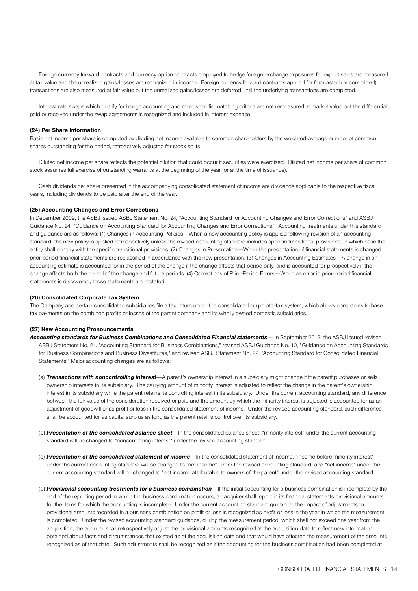Foreign currency forward contracts and currency option contracts employed to hedge foreign exchange exposures for export sales are measured at fair value and the unrealized gains/losses are recognized in income. Foreign currency forward contracts applied for forecasted (or committed) transactions are also measured at fair value but the unrealized gains/losses are deferred until the underlying transactions are completed.

Interest rate swaps which qualify for hedge accounting and meet specific matching criteria are not remeasured at market value but the differential paid or received under the swap agreements is recognized and included in interest expense.

#### **(24) Per Share Information**

Basic net income per share is computed by dividing net income available to common shareholders by the weighted-average number of common shares outstanding for the period, retroactively adjusted for stock splits.

Diluted net income per share reflects the potential dilution that could occur if securities were exercised. Diluted net income per share of common stock assumes full exercise of outstanding warrants at the beginning of the year (or at the time of issuance).

Cash dividends per share presented in the accompanying consolidated statement of income are dividends applicable to the respective fiscal years, including dividends to be paid after the end of the year.

### **(25) Accounting Changes and Error Corrections**

In December 2009, the ASBJ issued ASBJ Statement No. 24, "Accounting Standard for Accounting Changes and Error Corrections" and ASBJ Guidance No. 24, "Guidance on Accounting Standard for Accounting Changes and Error Corrections." Accounting treatments under this standard and guidance are as follows: (1) Changes in Accounting Policies–When a new accounting policy is applied following revision of an accounting standard, the new policy is applied retrospectively unless the revised accounting standard includes specific transitional provisions, in which case the entity shall comply with the specific transitional provisions. (2) Changes in Presentation–When the presentation of financial statements is changed, prior-period financial statements are reclassified in accordance with the new presentation. (3) Changes in Accounting Estimates–A change in an accounting estimate is accounted for in the period of the change if the change affects that period only, and is accounted for prospectively if the change affects both the period of the change and future periods. (4) Corrections of Prior-Period Errors–When an error in prior-period financial statements is discovered, those statements are restated.

## **(26) Consolidated Corporate Tax System**

The Company and certain consolidated subsidiaries file a tax return under the consolidated corporate-tax system, which allows companies to base tax payments on the combined profits or losses of the parent company and its wholly owned domestic subsidiaries.

### **(27) New Accounting Pronouncements**

Accounting standards for Business Combinations and Consolidated Financial statements— In September 2013, the ASBJ issued revised ASBJ Statement No. 21, "Accounting Standard for Business Combinations," revised ASBJ Guidance No. 10, "Guidance on Accounting Standards for Business Combinations and Business Divestitures," and revised ASBJ Statement No. 22, "Accounting Standard for Consolidated Financial Statements." Major accounting changes are as follows:

- (a) *Transactions with noncontrolling interest*—A parent's ownership interest in a subsidiary might change if the parent purchases or sells ownership interests in its subsidiary. The carrying amount of minority interest is adjusted to reflect the change in the parent's ownership interest in its subsidiary while the parent retains its controlling interest in its subsidiary. Under the current accounting standard, any difference between the fair value of the consideration received or paid and the amount by which the minority interest is adjusted is accounted for as an adjustment of goodwill or as profit or loss in the consolidated statement of income. Under the revised accounting standard, such difference shall be accounted for as capital surplus as long as the parent retains control over its subsidiary.
- (b) *Presentation of the consolidated balance sheet*—In the consolidated balance sheet, "minority interest" under the current accounting standard will be changed to "noncontrolling interest" under the revised accounting standard.
- (c) *Presentation of the consolidated statement of income*—In the consolidated statement of income, "income before minority interest" under the current accounting standard will be changed to "net income" under the revised accounting standard, and "net income" under the current accounting standard will be changed to "net income attributable to owners of the parent" under the revised accounting standard.
- (d) *Provisional accounting treatments for a business combination*—If the initial accounting for a business combination is incomplete by the end of the reporting period in which the business combination occurs, an acquirer shall report in its financial statements provisional amounts for the items for which the accounting is incomplete. Under the current accounting standard guidance, the impact of adjustments to provisional amounts recorded in a business combination on profit or loss is recognized as profit or loss in the year in which the measurement is completed. Under the revised accounting standard guidance, during the measurement period, which shall not exceed one year from the acquisition, the acquirer shall retrospectively adjust the provisional amounts recognized at the acquisition date to reflect new information obtained about facts and circumstances that existed as of the acquisition date and that would have affected the measurement of the amounts recognized as of that date. Such adjustments shall be recognized as if the accounting for the business combination had been completed at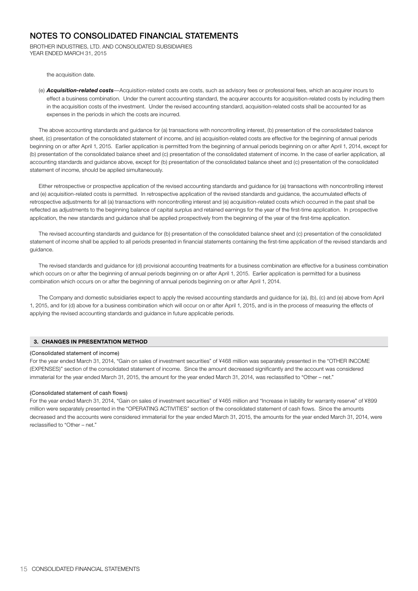BROTHER INDUSTRIES, LTD. AND CONSOLIDATED SUBSIDIARIES YEAR ENDED MARCH 31, 2015

the acquisition date.

(e) *Acquisition-related costs*—Acquisition-related costs are costs, such as advisory fees or professional fees, which an acquirer incurs to effect a business combination. Under the current accounting standard, the acquirer accounts for acquisition-related costs by including them in the acquisition costs of the investment. Under the revised accounting standard, acquisition-related costs shall be accounted for as expenses in the periods in which the costs are incurred.

The above accounting standards and guidance for (a) transactions with noncontrolling interest, (b) presentation of the consolidated balance sheet, (c) presentation of the consolidated statement of income, and (e) acquisition-related costs are effective for the beginning of annual periods beginning on or after April 1, 2015. Earlier application is permitted from the beginning of annual periods beginning on or after April 1, 2014, except for (b) presentation of the consolidated balance sheet and (c) presentation of the consolidated statement of income. In the case of earlier application, all accounting standards and guidance above, except for (b) presentation of the consolidated balance sheet and (c) presentation of the consolidated statement of income, should be applied simultaneously.

Either retrospective or prospective application of the revised accounting standards and guidance for (a) transactions with noncontrolling interest and (e) acquisition-related costs is permitted. In retrospective application of the revised standards and guidance, the accumulated effects of retrospective adjustments for all (a) transactions with noncontrolling interest and (e) acquisition-related costs which occurred in the past shall be reflected as adjustments to the beginning balance of capital surplus and retained earnings for the year of the first-time application. In prospective application, the new standards and guidance shall be applied prospectively from the beginning of the year of the first-time application.

The revised accounting standards and guidance for (b) presentation of the consolidated balance sheet and (c) presentation of the consolidated statement of income shall be applied to all periods presented in financial statements containing the first-time application of the revised standards and guidance.

The revised standards and guidance for (d) provisional accounting treatments for a business combination are effective for a business combination which occurs on or after the beginning of annual periods beginning on or after April 1, 2015. Earlier application is permitted for a business combination which occurs on or after the beginning of annual periods beginning on or after April 1, 2014.

The Company and domestic subsidiaries expect to apply the revised accounting standards and guidance for (a), (b), (c) and (e) above from April 1, 2015, and for (d) above for a business combination which will occur on or after April 1, 2015, and is in the process of measuring the effects of applying the revised accounting standards and guidance in future applicable periods.

# **3. CHANGES IN PRESENTATION METHOD**

#### (Consolidated statement of income)

For the year ended March 31, 2014, "Gain on sales of investment securities" of ¥468 million was separately presented in the "OTHER INCOME (EXPENSES)" section of the consolidated statement of income. Since the amount decreased significantly and the account was considered immaterial for the year ended March 31, 2015, the amount for the year ended March 31, 2014, was reclassified to "Other – net."

## (Consolidated statement of cash flows)

For the year ended March 31, 2014, "Gain on sales of investment securities" of ¥465 million and "Increase in liability for warranty reserve" of ¥899 million were separately presented in the "OPERATING ACTIVITIES" section of the consolidated statement of cash flows. Since the amounts decreased and the accounts were considered immaterial for the year ended March 31, 2015, the amounts for the year ended March 31, 2014, were reclassified to "Other – net."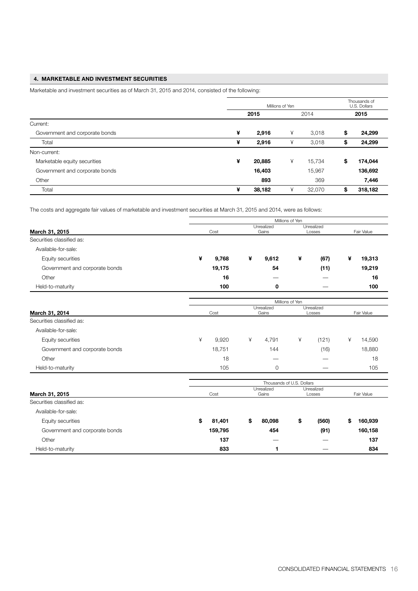# **4. MARKETABLE AND INVESTMENT SECURITIES**

Marketable and investment securities as of March 31, 2015 and 2014, consisted of the following:

|                                |      | Thousands of<br>U.S. Dollars |   |        |      |         |  |
|--------------------------------|------|------------------------------|---|--------|------|---------|--|
|                                | 2015 |                              |   | 2014   | 2015 |         |  |
| Current:                       |      |                              |   |        |      |         |  |
| Government and corporate bonds | ¥    | 2,916                        | ¥ | 3,018  | \$   | 24,299  |  |
| Total                          | ¥    | 2,916                        | ¥ | 3.018  | \$   | 24,299  |  |
| Non-current:                   |      |                              |   |        |      |         |  |
| Marketable equity securities   | ¥    | 20,885                       | ¥ | 15.734 | \$   | 174,044 |  |
| Government and corporate bonds |      | 16,403                       |   | 15,967 |      | 136,692 |  |
| Other                          |      | 893                          |   | 369    |      | 7,446   |  |
| Total                          | ¥    | 38,182                       | ¥ | 32,070 | \$   | 318,182 |  |

The costs and aggregate fair values of marketable and investment securities at March 31, 2015 and 2014, were as follows:

| Millions of Yen |         |       |              |                                        |                 |                                                                                                   |            |  |  |  |
|-----------------|---------|-------|--------------|----------------------------------------|-----------------|---------------------------------------------------------------------------------------------------|------------|--|--|--|
|                 |         | Gains |              |                                        |                 |                                                                                                   | Fair Value |  |  |  |
|                 |         |       |              |                                        |                 |                                                                                                   |            |  |  |  |
|                 |         |       |              |                                        |                 |                                                                                                   |            |  |  |  |
| ¥               | 9,768   | ¥     | 9,612        | ¥                                      | (67)            | ¥                                                                                                 | 19,313     |  |  |  |
|                 | 19,175  |       | 54           |                                        | (11)            |                                                                                                   | 19,219     |  |  |  |
|                 | 16      |       |              |                                        |                 |                                                                                                   | 16         |  |  |  |
|                 | 100     |       | 0            |                                        |                 |                                                                                                   | 100        |  |  |  |
|                 |         |       |              |                                        |                 |                                                                                                   |            |  |  |  |
|                 | Cost    |       | Gains        |                                        |                 |                                                                                                   | Fair Value |  |  |  |
|                 |         |       |              |                                        |                 |                                                                                                   |            |  |  |  |
|                 |         |       |              |                                        |                 |                                                                                                   |            |  |  |  |
| ¥               | 9,920   | ¥     | 4,791        | ¥                                      | (121)           | ¥                                                                                                 | 14,590     |  |  |  |
|                 | 18,751  |       | 144          |                                        | (16)            |                                                                                                   | 18,880     |  |  |  |
|                 | 18      |       |              |                                        |                 |                                                                                                   | 18         |  |  |  |
|                 | 105     |       | $\mathbf{0}$ |                                        |                 |                                                                                                   | 105        |  |  |  |
|                 |         |       |              |                                        |                 |                                                                                                   |            |  |  |  |
|                 | Cost    |       | Gains        |                                        |                 |                                                                                                   | Fair Value |  |  |  |
|                 |         |       |              |                                        |                 |                                                                                                   |            |  |  |  |
|                 |         |       |              |                                        |                 |                                                                                                   |            |  |  |  |
| \$              | 81,401  | \$    | 80,098       | \$                                     | (560)           | \$                                                                                                | 160,939    |  |  |  |
|                 | 159,795 |       | 454          |                                        | (91)            |                                                                                                   | 160,158    |  |  |  |
|                 | 137     |       |              |                                        |                 |                                                                                                   | 137        |  |  |  |
|                 | 833     |       | 1            |                                        |                 |                                                                                                   | 834        |  |  |  |
|                 |         | Cost  |              | Unrealized<br>Unrealized<br>Unrealized | Millions of Yen | Unrealized<br>Losses<br>Unrealized<br>Losses<br>Thousands of U.S. Dollars<br>Unrealized<br>Losses |            |  |  |  |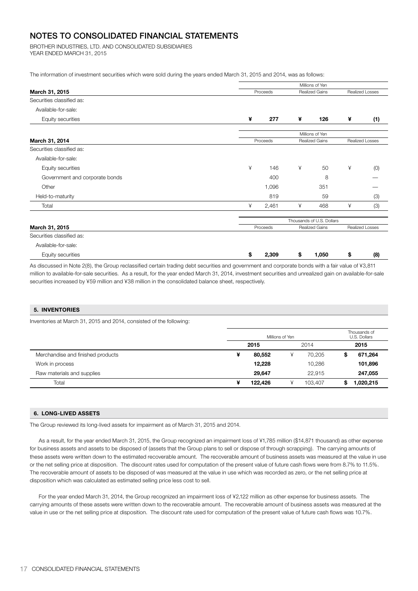BROTHER INDUSTRIES, LTD. AND CONSOLIDATED SUBSIDIARIES YEAR ENDED MARCH 31, 2015

The information of investment securities which were sold during the years ended March 31, 2015 and 2014, was as follows:

|                                |          |          |    | Millions of Yen           |    |                 |  |  |  |  |  |
|--------------------------------|----------|----------|----|---------------------------|----|-----------------|--|--|--|--|--|
| March 31, 2015                 |          | Proceeds |    | <b>Realized Gains</b>     |    | Realized Losses |  |  |  |  |  |
| Securities classified as:      |          |          |    |                           |    |                 |  |  |  |  |  |
| Available-for-sale:            |          |          |    |                           |    |                 |  |  |  |  |  |
| Equity securities              | ¥        | 277      | ¥  | 126                       | ¥  | (1)             |  |  |  |  |  |
|                                |          |          |    |                           |    |                 |  |  |  |  |  |
| March 31, 2014                 | Proceeds |          |    | Realized Gains            |    | Realized Losses |  |  |  |  |  |
| Securities classified as:      |          |          |    |                           |    |                 |  |  |  |  |  |
| Available-for-sale:            |          |          |    |                           |    |                 |  |  |  |  |  |
| Equity securities              | ¥        | 146      | ¥  | 50                        | ¥  | (0)             |  |  |  |  |  |
| Government and corporate bonds |          | 400      |    | 8                         |    |                 |  |  |  |  |  |
| Other                          |          | 1,096    |    | 351                       |    |                 |  |  |  |  |  |
| Held-to-maturity               |          | 819      |    | 59                        |    | (3)             |  |  |  |  |  |
| Total                          | ¥        | 2,461    | ¥  | 468                       | ¥  | (3)             |  |  |  |  |  |
|                                |          |          |    | Thousands of U.S. Dollars |    |                 |  |  |  |  |  |
| March 31, 2015                 |          | Proceeds |    | <b>Realized Gains</b>     |    | Realized Losses |  |  |  |  |  |
| Securities classified as:      |          |          |    |                           |    |                 |  |  |  |  |  |
| Available-for-sale:            |          |          |    |                           |    |                 |  |  |  |  |  |
| Equity securities              | \$       | 2,309    | \$ | 1,050                     | \$ | (8)             |  |  |  |  |  |

As discussed in Note 2(8), the Group reclassified certain trading debt securities and government and corporate bonds with a fair value of ¥3,811 million to available-for-sale securities. As a result, for the year ended March 31, 2014, investment securities and unrealized gain on available-for-sale securities increased by ¥59 million and ¥38 million in the consolidated balance sheet, respectively.

# **5. INVENTORIES**

Inventories at March 31, 2015 and 2014, consisted of the following:

|                                   | Millions of Yen |   | Thousands of<br>U.S. Dollars |  |           |
|-----------------------------------|-----------------|---|------------------------------|--|-----------|
|                                   | 2015            |   | 2014                         |  | 2015      |
| Merchandise and finished products | 80,552          | ¥ | 70,205                       |  | 671,264   |
| Work in process                   | 12,228          |   | 10,286                       |  | 101,896   |
| Raw materials and supplies        | 29.647          |   | 22.915                       |  | 247,055   |
| Total                             | 122.426         | ¥ | 103.407                      |  | 1,020,215 |

## **6. LONG-LIVED ASSETS**

The Group reviewed its long-lived assets for impairment as of March 31, 2015 and 2014.

As a result, for the year ended March 31, 2015, the Group recognized an impairment loss of ¥1,785 million (\$14,871 thousand) as other expense for business assets and assets to be disposed of (assets that the Group plans to sell or dispose of through scrapping). The carrying amounts of these assets were written down to the estimated recoverable amount. The recoverable amount of business assets was measured at the value in use or the net selling price at disposition. The discount rates used for computation of the present value of future cash flows were from 8.7% to 11.5%. The recoverable amount of assets to be disposed of was measured at the value in use which was recorded as zero, or the net selling price at disposition which was calculated as estimated selling price less cost to sell.

For the year ended March 31, 2014, the Group recognized an impairment loss of ¥2,122 million as other expense for business assets. The carrying amounts of these assets were written down to the recoverable amount. The recoverable amount of business assets was measured at the value in use or the net selling price at disposition. The discount rate used for computation of the present value of future cash flows was 10.7%.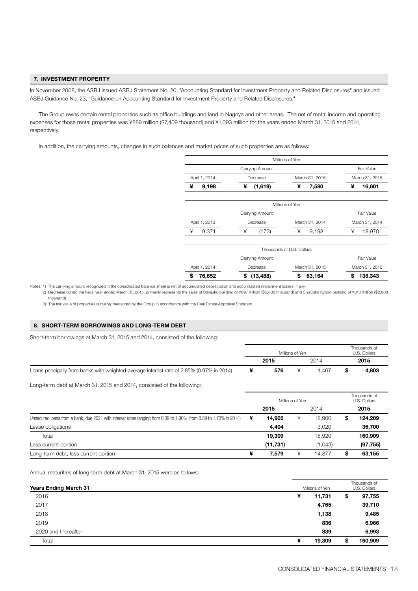## **7. INVESTMENT PROPERTY**

In November 2008, the ASBJ issued ASBJ Statement No. 20, "Accounting Standard for Investment Property and Related Disclosures" and issued ASBJ Guidance No. 23, "Guidance on Accounting Standard for Investment Property and Related Disclosures."

The Group owns certain rental properties such as office buildings and land in Nagoya and other areas. The net of rental income and operating expenses for those rental properties was ¥889 million (\$7,409 thousand) and ¥1,093 million for the years ended March 31, 2015 and 2014, respectively.

In addition, the carrying amounts, changes in such balances and market prices of such properties are as follows:

|               |                 | Millions of Yen           |                |   |                |  |                |
|---------------|-----------------|---------------------------|----------------|---|----------------|--|----------------|
|               | Carrying Amount |                           |                |   | Fair Value     |  |                |
| April 1, 2014 | Decrease        |                           | March 31, 2015 |   | March 31, 2015 |  |                |
| ¥<br>9,198    | ¥<br>(1,619)    | ¥                         | 7,580          | ¥ | 16,601         |  |                |
|               |                 |                           |                |   |                |  |                |
|               |                 | Millions of Yen           |                |   |                |  |                |
|               | Carrying Amount |                           |                |   | Fair Value     |  |                |
| April 1, 2013 | Decrease        |                           | March 31, 2014 |   | March 31, 2014 |  |                |
| ¥<br>9,371    | ¥<br>(173)      | ¥                         | 9,198          | ¥ | 18,970         |  |                |
|               |                 |                           |                |   |                |  |                |
|               |                 | Thousands of U.S. Dollars |                |   |                |  |                |
|               | Carrying Amount |                           |                |   | Fair Value     |  |                |
| April 1, 2014 | Decrease        | March 31, 2015            |                |   |                |  | March 31, 2015 |
| 76,652<br>S   | (13, 488)<br>\$ | \$                        | 63,164         | S | 138,343        |  |                |

Notes: 1) The carrying amount recognized in the consolidated balance sheet is net of accumulated depreciation and accumulated impairment losses, if any. 2) Decrease during the fiscal year ended March 31, 2015, primarily represents the sales of Shinjuku building of ¥697 million (\$5,808 thousand) and Shizuoka Kyodo building of ¥313 million (\$2,608

thousand).

3) The fair value of properties is mainly measured by the Group in accordance with the Real Estate Appraisal Standard.

# **8. SHORT-TERM BORROWINGS AND LONG-TERM DEBT**

Short-term borrowings at March 31, 2015 and 2014, consisted of the following:

|                                                                                           |              |     | Millions of Yen |       | Thousands of<br>U.S. Dollars |
|-------------------------------------------------------------------------------------------|--------------|-----|-----------------|-------|------------------------------|
|                                                                                           | 2015<br>2014 |     | 2015            |       |                              |
| Loans principally from banks with weighted-average interest rate of 2.85% (0.97% in 2014) |              | 576 |                 | . 467 | 4.803                        |

Long-term debt at March 31, 2015 and 2014, consisted of the following:

|                                                                                                                   | Millions of Yen |          |   |         |    | Thousands of<br>U.S. Dollars |  |  |
|-------------------------------------------------------------------------------------------------------------------|-----------------|----------|---|---------|----|------------------------------|--|--|
|                                                                                                                   |                 | 2015     |   | 2014    |    | 2015                         |  |  |
| Unsecured loans from a bank, due 2021 with interest rates ranging from 0.39 to 1.90% (from 0.39 to 1.73% in 2014) | ¥               | 14.905   | ¥ | 12.900  | \$ | 124,209                      |  |  |
| Lease obligations                                                                                                 |                 | 4.404    |   | 3.020   |    | 36,700                       |  |  |
| Total                                                                                                             |                 | 19.309   |   | 15.920  |    | 160,909                      |  |  |
| Less current portion                                                                                              |                 | (11,731) |   | (1,043) |    | (97, 755)                    |  |  |
| Long-term debt, less current portion                                                                              | ¥               | 7.579    | ¥ | 14.877  | S  | 63,155                       |  |  |

Annual maturities of long-term debt at March 31, 2015 were as follows:

| <b>Years Ending March 31</b> |   | Millions of Yen | Thousands of<br>U.S. Dollars |         |  |
|------------------------------|---|-----------------|------------------------------|---------|--|
| 2016                         | ¥ | 11,731          | \$                           | 97,755  |  |
| 2017                         |   | 4,765           |                              | 39,710  |  |
| 2018                         |   | 1,138           |                              | 9,485   |  |
| 2019                         |   | 836             |                              | 6,966   |  |
| 2020 and thereafter          |   | 839             |                              | 6,993   |  |
| Total                        | ¥ | 19,309          | \$                           | 160,909 |  |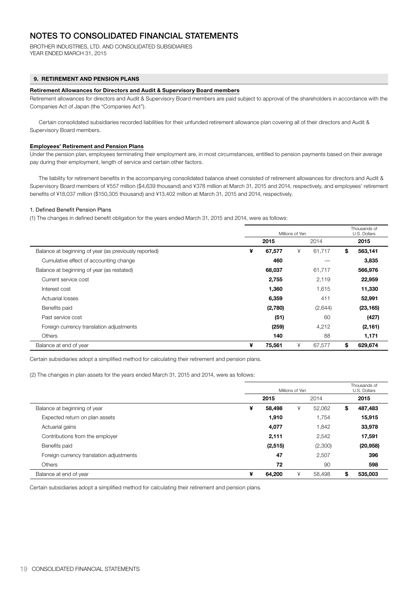BROTHER INDUSTRIES, LTD. AND CONSOLIDATED SUBSIDIARIES YEAR ENDED MARCH 31, 2015

## **9. RETIREMENT AND PENSION PLANS**

# **Retirement Allowances for Directors and Audit & Supervisory Board members**

Retirement allowances for directors and Audit & Supervisory Board members are paid subject to approval of the shareholders in accordance with the Companies Act of Japan (the "Companies Act").

Certain consolidated subsidiaries recorded liabilities for their unfunded retirement allowance plan covering all of their directors and Audit & Supervisory Board members.

### **Employees' Retirement and Pension Plans**

Under the pension plan, employees terminating their employment are, in most circumstances, entitled to pension payments based on their average pay during their employment, length of service and certain other factors.

The liability for retirement benefits in the accompanying consolidated balance sheet consisted of retirement allowances for directors and Audit & Supervisory Board members of ¥557 million (\$4,639 thousand) and ¥378 million at March 31, 2015 and 2014, respectively, and employees' retirement benefits of ¥18,037 million (\$150,305 thousand) and ¥13,402 million at March 31, 2015 and 2014, respectively.

### 1. Defined Benefit Pension Plans

(1) The changes in defined benefit obligation for the years ended March 31, 2015 and 2014, were as follows:

|                                                       | Millions of Yen |         |      |         |    | Thousands of<br>U.S. Dollars |
|-------------------------------------------------------|-----------------|---------|------|---------|----|------------------------------|
|                                                       |                 | 2015    | 2014 |         |    | 2015                         |
| Balance at beginning of year (as previously reported) | ¥               | 67,577  | ¥    | 61,717  | \$ | 563,141                      |
| Cumulative effect of accounting change                |                 | 460     |      |         |    | 3,835                        |
| Balance at beginning of year (as restated)            |                 | 68,037  |      | 61,717  |    | 566,976                      |
| Current service cost                                  |                 | 2,755   |      | 2,119   |    | 22,959                       |
| Interest cost                                         |                 | 1,360   |      | 1,615   |    | 11,330                       |
| Actuarial losses                                      |                 | 6,359   |      | 411     |    | 52,991                       |
| Benefits paid                                         |                 | (2,780) |      | (2,644) |    | (23, 165)                    |
| Past service cost                                     |                 | (51)    |      | 60      |    | (427)                        |
| Foreign currency translation adjustments              |                 | (259)   |      | 4,212   |    | (2, 161)                     |
| <b>Others</b>                                         |                 | 140     |      | 88      |    | 1,171                        |
| Balance at end of year                                | ¥               | 75,561  | ¥    | 67,577  | \$ | 629,674                      |

Certain subsidiaries adopt a simplified method for calculating their retirement and pension plans.

(2) The changes in plan assets for the years ended March 31, 2015 and 2014, were as follows:

|                                          | Millions of Yen |         |   |         | Thousands of<br>U.S. Dollars |           |  |
|------------------------------------------|-----------------|---------|---|---------|------------------------------|-----------|--|
|                                          |                 | 2015    |   | 2014    |                              | 2015      |  |
| Balance at beginning of year             | ¥               | 58,498  | ¥ | 52.062  | \$                           | 487,483   |  |
| Expected return on plan assets           |                 | 1,910   |   | 1,754   |                              | 15,915    |  |
| Actuarial gains                          |                 | 4,077   |   | 1,842   |                              | 33,978    |  |
| Contributions from the employer          |                 | 2,111   |   | 2,542   |                              | 17,591    |  |
| Benefits paid                            |                 | (2,515) |   | (2,300) |                              | (20, 958) |  |
| Foreign currency translation adjustments |                 | 47      |   | 2,507   |                              | 396       |  |
| <b>Others</b>                            |                 | 72      |   | 90      |                              | 598       |  |
| Balance at end of year                   | ¥               | 64,200  | ¥ | 58.498  | \$                           | 535.003   |  |

Certain subsidiaries adopt a simplified method for calculating their retirement and pension plans.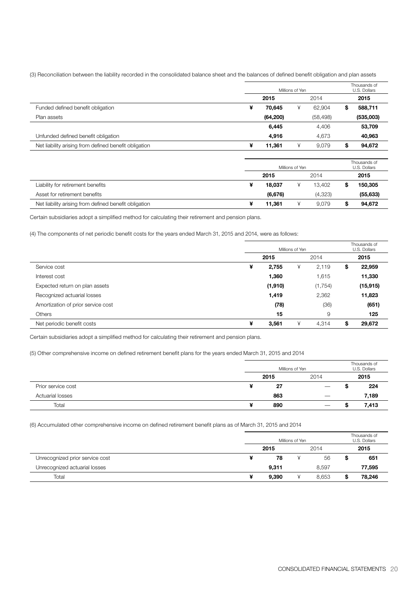(3) Reconciliation between the liability recorded in the consolidated balance sheet and the balances of defined benefit obligation and plan assets

|                                                       | Millions of Yen |           |   |           |    | Thousands of<br>U.S. Dollars |  |  |
|-------------------------------------------------------|-----------------|-----------|---|-----------|----|------------------------------|--|--|
|                                                       |                 | 2015      |   | 2014      |    | 2015                         |  |  |
| Funded defined benefit obligation                     | ¥               | 70.645    | ¥ | 62.904    | \$ | 588,711                      |  |  |
| Plan assets                                           |                 | (64, 200) |   | (58, 498) |    | (535,003)                    |  |  |
|                                                       |                 | 6,445     |   | 4.406     |    | 53,709                       |  |  |
| Unfunded defined benefit obligation                   |                 | 4.916     |   | 4.673     |    | 40,963                       |  |  |
| Net liability arising from defined benefit obligation | ¥               | 11.361    | ¥ | 9.079     | \$ | 94,672                       |  |  |

|                                                       |   | Millions of Yen |         | Thousands of<br>U.S. Dollars |           |
|-------------------------------------------------------|---|-----------------|---------|------------------------------|-----------|
|                                                       |   | 2015            | 2014    |                              | 2015      |
| Liability for retirement benefits                     | ¥ | 18.037          | 13.402  | S                            | 150.305   |
| Asset for retirement benefits                         |   | (6,676)         | (4,323) |                              | (55, 633) |
| Net liability arising from defined benefit obligation |   | 11,361          | 9.079   |                              | 94.672    |

Certain subsidiaries adopt a simplified method for calculating their retirement and pension plans.

(4) The components of net periodic benefit costs for the years ended March 31, 2015 and 2014, were as follows:

|                                    | Millions of Yen |         |   |         |    | Thousands of<br>U.S. Dollars |  |
|------------------------------------|-----------------|---------|---|---------|----|------------------------------|--|
|                                    |                 | 2015    |   | 2014    |    | 2015                         |  |
| Service cost                       | ¥               | 2,755   | ¥ | 2,119   | \$ | 22,959                       |  |
| Interest cost                      |                 | 1,360   |   | 1,615   |    | 11,330                       |  |
| Expected return on plan assets     |                 | (1,910) |   | (1,754) |    | (15, 915)                    |  |
| Recognized actuarial losses        |                 | 1,419   |   | 2,362   |    | 11,823                       |  |
| Amortization of prior service cost |                 | (78)    |   | (36)    |    | (651)                        |  |
| <b>Others</b>                      |                 | 15      |   | 9       |    | 125                          |  |
| Net periodic benefit costs         | ¥               | 3,561   | ¥ | 4.314   | \$ | 29,672                       |  |

Certain subsidiaries adopt a simplified method for calculating their retirement and pension plans.

(5) Other comprehensive income on defined retirement benefit plans for the years ended March 31, 2015 and 2014

|                    |   | Millions of Yen | Thousands of<br>U.S. Dollars |   |       |  |
|--------------------|---|-----------------|------------------------------|---|-------|--|
|                    |   | 2014<br>2015    |                              |   | 2015  |  |
| Prior service cost | ¥ | 27              |                              | æ | 224   |  |
| Actuarial losses   |   | 863             |                              |   | 7,189 |  |
| Total              | ¥ | 890             |                              | æ | 7,413 |  |

(6) Accumulated other comprehensive income on defined retirement benefit plans as of March 31, 2015 and 2014

|                                 |   | Millions of Yen | Thousands of<br>U.S. Dollars |       |      |        |
|---------------------------------|---|-----------------|------------------------------|-------|------|--------|
|                                 |   | 2015            |                              | 2014  | 2015 |        |
| Unrecognized prior service cost | ¥ | 78              |                              | 56    | S    | 651    |
| Unrecognized actuarial losses   |   | 9,311           |                              | 8.597 |      | 77,595 |
| Total                           |   | 9,390           | ¥                            | 8,653 | S    | 78,246 |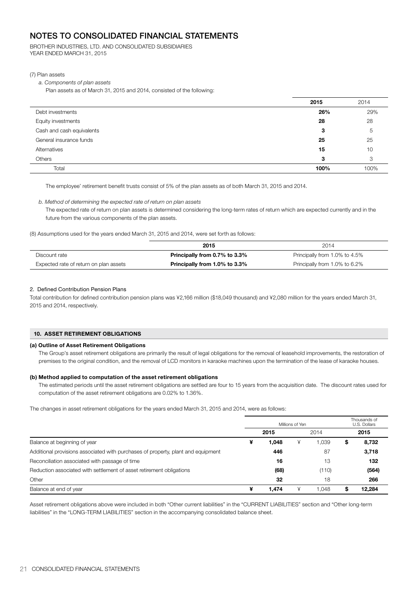BROTHER INDUSTRIES, LTD. AND CONSOLIDATED SUBSIDIARIES YEAR ENDED MARCH 31, 2015

# (7) Plan assets

# *a. Components of plan assets*

Plan assets as of March 31, 2015 and 2014, consisted of the following:

|                           | 2015 | 2014 |
|---------------------------|------|------|
| Debt investments          | 26%  | 29%  |
| Equity investments        | 28   | 28   |
| Cash and cash equivalents | 3    | 5    |
| General insurance funds   | 25   | 25   |
| Alternatives              | 15   | 10   |
| Others                    | 3    | 3    |
| Total                     | 100% | 100% |

The employee' retirement benefit trusts consist of 5% of the plan assets as of both March 31, 2015 and 2014.

*b. Method of determining the expected rate of return on plan assets* The expected rate of return on plan assets is determined considering the long-term rates of return which are expected currently and in the future from the various components of the plan assets.

(8) Assumptions used for the years ended March 31, 2015 and 2014, were set forth as follows:

|                                        | 2015                          | 2014                          |
|----------------------------------------|-------------------------------|-------------------------------|
| Discount rate                          | Principally from 0.7% to 3.3% | Principally from 1.0% to 4.5% |
| Expected rate of return on plan assets | Principally from 1.0% to 3.3% | Principally from 1.0% to 6.2% |

# 2. Defined Contribution Pension Plans

Total contribution for defined contribution pension plans was ¥2,166 million (\$18,049 thousand) and ¥2,080 million for the years ended March 31, 2015 and 2014, respectively.

# **10. ASSET RETIREMENT OBLIGATIONS**

# **(a) Outline of Asset Retirement Obligations**

The Group's asset retirement obligations are primarily the result of legal obligations for the removal of leasehold improvements, the restoration of premises to the original condition, and the removal of LCD monitors in karaoke machines upon the termination of the lease of karaoke houses.

## **(b) Method applied to computation of the asset retirement obligations**

The estimated periods until the asset retirement obligations are settled are four to 15 years from the acquisition date. The discount rates used for computation of the asset retirement obligations are 0.02% to 1.36%.

The changes in asset retirement obligations for the years ended March 31, 2015 and 2014, were as follows:

|                                                                                  | Millions of Yen |       |      |       |    | Thousands of<br>U.S. Dollars |
|----------------------------------------------------------------------------------|-----------------|-------|------|-------|----|------------------------------|
|                                                                                  |                 | 2015  | 2014 |       |    | 2015                         |
| Balance at beginning of year                                                     | ¥               | 1.048 | ¥    | 1,039 | \$ | 8,732                        |
| Additional provisions associated with purchases of property, plant and equipment |                 | 446   |      | 87    |    | 3,718                        |
| Reconciliation associated with passage of time                                   |                 | 16    |      | 13    |    | 132                          |
| Reduction associated with settlement of asset retirement obligations             |                 | (68)  |      | (110) |    | (564)                        |
| Other                                                                            |                 | 32    |      | 18    |    | 266                          |
| Balance at end of year                                                           | ¥               | 1.474 |      | 1.048 | \$ | 12.284                       |

Asset retirement obligations above were included in both "Other current liabilities" in the "CURRENT LIABILITIES" section and "Other long-term liabilities" in the "LONG-TERM LIABILITIES" section in the accompanying consolidated balance sheet.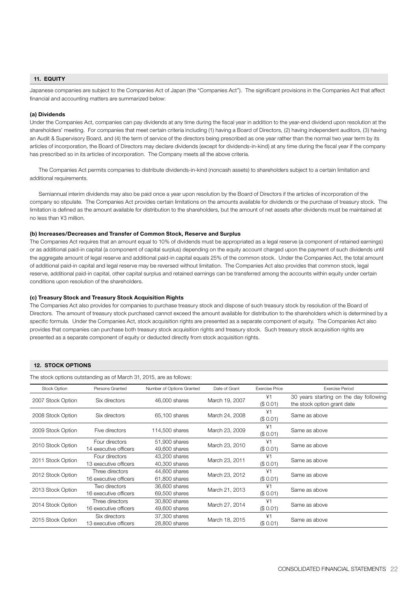## **11. EQUITY**

Japanese companies are subject to the Companies Act of Japan (the "Companies Act"). The significant provisions in the Companies Act that affect financial and accounting matters are summarized below:

#### **(a) Dividends**

Under the Companies Act, companies can pay dividends at any time during the fiscal year in addition to the year-end dividend upon resolution at the shareholders' meeting. For companies that meet certain criteria including (1) having a Board of Directors, (2) having independent auditors, (3) having an Audit & Supervisory Board, and (4) the term of service of the directors being prescribed as one year rather than the normal two year term by its articles of incorporation, the Board of Directors may declare dividends (except for dividends-in-kind) at any time during the fiscal year if the company has prescribed so in its articles of incorporation. The Company meets all the above criteria.

The Companies Act permits companies to distribute dividends-in-kind (noncash assets) to shareholders subject to a certain limitation and additional requirements.

Semiannual interim dividends may also be paid once a year upon resolution by the Board of Directors if the articles of incorporation of the company so stipulate. The Companies Act provides certain limitations on the amounts available for dividends or the purchase of treasury stock. The limitation is defined as the amount available for distribution to the shareholders, but the amount of net assets after dividends must be maintained at no less than ¥3 million.

### **(b) Increases/Decreases and Transfer of Common Stock, Reserve and Surplus**

The Companies Act requires that an amount equal to 10% of dividends must be appropriated as a legal reserve (a component of retained earnings) or as additional paid-in capital (a component of capital surplus) depending on the equity account charged upon the payment of such dividends until the aggregate amount of legal reserve and additional paid-in capital equals 25% of the common stock. Under the Companies Act, the total amount of additional paid-in capital and legal reserve may be reversed without limitation. The Companies Act also provides that common stock, legal reserve, additional paid-in capital, other capital surplus and retained earnings can be transferred among the accounts within equity under certain conditions upon resolution of the shareholders.

#### **(c) Treasury Stock and Treasury Stock Acquisition Rights**

The Companies Act also provides for companies to purchase treasury stock and dispose of such treasury stock by resolution of the Board of Directors. The amount of treasury stock purchased cannot exceed the amount available for distribution to the shareholders which is determined by a specific formula. Under the Companies Act, stock acquisition rights are presented as a separate component of equity. The Companies Act also provides that companies can purchase both treasury stock acquisition rights and treasury stock. Such treasury stock acquisition rights are presented as a separate component of equity or deducted directly from stock acquisition rights.

# **12. STOCK OPTIONS**

The stock options outstanding as of March 31, 2015, are as follows:

| The etern options catolication ig as of march on, Editor, and as follows: |                                          |                                |                |                       |                                                                       |  |  |  |  |  |
|---------------------------------------------------------------------------|------------------------------------------|--------------------------------|----------------|-----------------------|-----------------------------------------------------------------------|--|--|--|--|--|
| <b>Stock Option</b>                                                       | Persons Granted                          | Number of Options Granted      | Date of Grant  | <b>Exercise Price</b> | <b>Exercise Period</b>                                                |  |  |  |  |  |
| 2007 Stock Option                                                         | Six directors                            | 46,000 shares                  | March 19, 2007 | ¥1<br>(\$0.01)        | 30 years starting on the day following<br>the stock option grant date |  |  |  |  |  |
| 2008 Stock Option                                                         | Six directors                            | 65,100 shares                  | March 24, 2008 | ¥1<br>(S 0.01)        | Same as above                                                         |  |  |  |  |  |
| 2009 Stock Option                                                         | Five directors                           | 114,500 shares                 | March 23, 2009 | ¥1<br>(\$0.01)        | Same as above                                                         |  |  |  |  |  |
| 2010 Stock Option                                                         | Four directors<br>14 executive officers  | 51,900 shares<br>49,600 shares | March 23, 2010 | ¥1<br>(S 0.01)        | Same as above                                                         |  |  |  |  |  |
| 2011 Stock Option                                                         | Four directors<br>13 executive officers  | 43,200 shares<br>40,300 shares | March 23, 2011 | ¥1<br>(S 0.01)        | Same as above                                                         |  |  |  |  |  |
| 2012 Stock Option                                                         | Three directors<br>16 executive officers | 44,600 shares<br>61,800 shares | March 23, 2012 | ¥1<br>(\$0.01)        | Same as above                                                         |  |  |  |  |  |
| 2013 Stock Option                                                         | Two directors<br>16 executive officers   | 36,600 shares<br>69,500 shares | March 21, 2013 | ¥1<br>(\$0.01)        | Same as above                                                         |  |  |  |  |  |
| 2014 Stock Option                                                         | Three directors<br>16 executive officers | 30,800 shares<br>49,600 shares | March 27, 2014 | ¥1<br>(S 0.01)        | Same as above                                                         |  |  |  |  |  |
| 2015 Stock Option                                                         | Six directors<br>13 executive officers   | 37,300 shares<br>28,800 shares | March 18, 2015 | ¥1<br>(S 0.01)        | Same as above                                                         |  |  |  |  |  |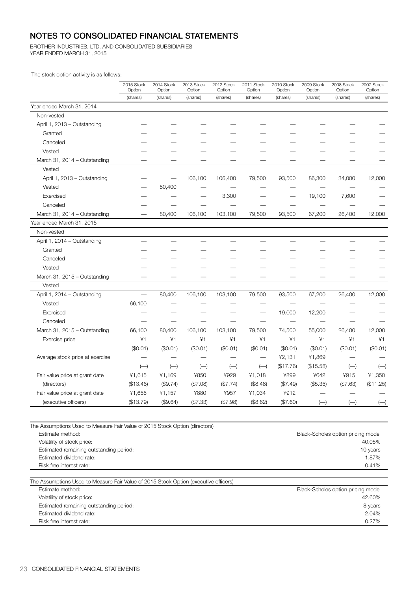BROTHER INDUSTRIES, LTD. AND CONSOLIDATED SUBSIDIARIES YEAR ENDED MARCH 31, 2015

The stock option activity is as follows:

|                                                                                      | 2015 Stock<br>Option | 2014 Stock<br>Option | 2013 Stock<br>Option | 2012 Stock<br>Option | 2011 Stock<br>Option | 2010 Stock<br>Option | 2009 Stock<br>Option | 2008 Stock<br>Option               | 2007 Stock<br>Option         |
|--------------------------------------------------------------------------------------|----------------------|----------------------|----------------------|----------------------|----------------------|----------------------|----------------------|------------------------------------|------------------------------|
|                                                                                      | (shares)             | (shares)             | (shares)             | (shares)             | (shares)             | (shares)             | (shares)             | (shares)                           | (shares)                     |
| Year ended March 31, 2014                                                            |                      |                      |                      |                      |                      |                      |                      |                                    |                              |
| Non-vested                                                                           |                      |                      |                      |                      |                      |                      |                      |                                    |                              |
| April 1, 2013 - Outstanding                                                          |                      |                      |                      |                      |                      |                      |                      |                                    |                              |
| Granted                                                                              |                      |                      |                      |                      |                      |                      |                      |                                    |                              |
| Canceled                                                                             |                      |                      |                      |                      |                      |                      |                      |                                    |                              |
| Vested                                                                               |                      |                      |                      |                      |                      |                      |                      |                                    |                              |
| March 31, 2014 - Outstanding                                                         |                      |                      |                      |                      |                      |                      |                      |                                    |                              |
| Vested                                                                               |                      |                      |                      |                      |                      |                      |                      |                                    |                              |
| April 1, 2013 - Outstanding                                                          |                      |                      | 106,100              | 106,400              | 79,500               | 93,500               | 86,300               | 34,000                             | 12,000                       |
| Vested                                                                               |                      | 80,400               |                      |                      |                      |                      |                      |                                    |                              |
| Exercised                                                                            |                      |                      |                      | 3,300                |                      |                      | 19,100               | 7,600                              |                              |
| Canceled                                                                             |                      |                      |                      |                      |                      |                      |                      |                                    |                              |
| March 31, 2014 - Outstanding                                                         |                      | 80,400               | 106,100              | 103,100              | 79,500               | 93,500               | 67,200               | 26,400                             | 12,000                       |
| Year ended March 31, 2015                                                            |                      |                      |                      |                      |                      |                      |                      |                                    |                              |
| Non-vested                                                                           |                      |                      |                      |                      |                      |                      |                      |                                    |                              |
| April 1, 2014 - Outstanding                                                          |                      |                      |                      |                      |                      |                      |                      |                                    |                              |
| Granted                                                                              |                      |                      |                      |                      |                      |                      |                      |                                    |                              |
| Canceled                                                                             |                      |                      |                      |                      |                      |                      |                      |                                    |                              |
| Vested                                                                               |                      |                      |                      |                      |                      |                      |                      |                                    |                              |
| March 31, 2015 - Outstanding                                                         |                      |                      |                      |                      |                      |                      |                      |                                    |                              |
| Vested                                                                               |                      |                      |                      |                      |                      |                      |                      |                                    |                              |
| April 1, 2014 - Outstanding                                                          |                      | 80,400               | 106,100              | 103,100              | 79,500               | 93,500               | 67,200               | 26,400                             | 12,000                       |
| Vested                                                                               | 66,100               |                      |                      |                      |                      |                      |                      |                                    |                              |
| Exercised                                                                            |                      |                      |                      |                      |                      | 19,000               | 12,200               |                                    |                              |
| Canceled                                                                             |                      |                      |                      |                      |                      |                      |                      |                                    |                              |
| March 31, 2015 - Outstanding                                                         | 66,100               | 80,400               | 106,100              | 103,100              | 79,500               | 74,500               | 55,000               | 26,400                             | 12,000                       |
| Exercise price                                                                       | ¥1                   | ¥1                   | ¥1                   | ¥1                   | ¥1                   | ¥1                   | ¥1                   | ¥1                                 | ¥1                           |
|                                                                                      | (\$0.01)             | (\$0.01)             | (\$0.01)             | (\$0.01)             | (\$0.01)             | (\$0.01)             | (\$0.01)             | (\$0.01)                           | (\$0.01)                     |
| Average stock price at exercise                                                      |                      |                      |                      |                      |                      | ¥2,131               | ¥1,869               |                                    |                              |
|                                                                                      | $(-)$                | $(-)$                | $(-)$                | $(-)$                | $(-)$                | (\$17.76)            | (\$15.58)            | $(-)$                              | $(-)$                        |
| Fair value price at grant date                                                       | ¥1,615               | ¥1,169               | ¥850                 | ¥929                 | ¥1,018               | ¥899                 | ¥642                 | ¥915                               | ¥1,350                       |
| (directors)                                                                          | (\$13.46)            | (\$9.74)             | (\$7.08)             | (\$7.74)             | (\$8.48)             | (\$7.49)             | (\$5.35)             | (\$7.63)                           | (\$11.25)                    |
| Fair value price at grant date                                                       | ¥1,655               | ¥1,157               | ¥880                 | ¥957                 | ¥1,034               | ¥912                 |                      |                                    |                              |
| (executive officers)                                                                 | (\$13.79)            | (\$9.64)             | (\$7.33)             | (\$7.98)             | (\$8.62)             | (\$7.60)             | $(-)$                | $(-)$                              | $\left( \rightarrow \right)$ |
|                                                                                      |                      |                      |                      |                      |                      |                      |                      |                                    |                              |
|                                                                                      |                      |                      |                      |                      |                      |                      |                      |                                    |                              |
| The Assumptions Used to Measure Fair Value of 2015 Stock Option (directors)          |                      |                      |                      |                      |                      |                      |                      |                                    |                              |
| Estimate method:                                                                     |                      |                      |                      |                      |                      |                      |                      | Black-Scholes option pricing model |                              |
| Volatility of stock price:                                                           |                      |                      |                      |                      |                      |                      |                      |                                    | 40.05%                       |
| Estimated remaining outstanding period:<br>Estimated dividend rate:                  |                      |                      |                      |                      |                      |                      |                      |                                    | 10 years<br>1.87%            |
| Risk free interest rate:                                                             |                      |                      |                      |                      |                      |                      |                      |                                    | 0.41%                        |
|                                                                                      |                      |                      |                      |                      |                      |                      |                      |                                    |                              |
| The Assumptions Used to Measure Fair Value of 2015 Stock Option (executive officers) |                      |                      |                      |                      |                      |                      |                      |                                    |                              |
| Estimate method:                                                                     |                      |                      |                      |                      |                      |                      |                      | Black-Scholes option pricing model |                              |
| Volatility of stock price:                                                           |                      |                      |                      |                      |                      |                      |                      |                                    | 42.60%                       |
| Estimated remaining outstanding period:                                              |                      |                      |                      |                      |                      |                      |                      |                                    | 8 years                      |
| Estimated dividend rate:                                                             |                      |                      |                      |                      |                      |                      |                      |                                    | 2.04%                        |
| Risk free interest rate:                                                             |                      |                      |                      |                      |                      |                      |                      |                                    | 0.27%                        |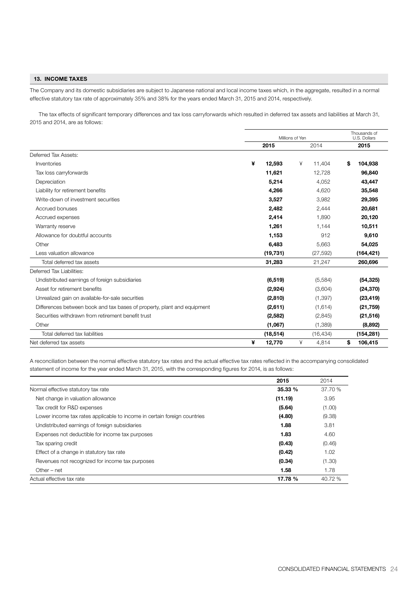# **13. INCOME TAXES**

The Company and its domestic subsidiaries are subject to Japanese national and local income taxes which, in the aggregate, resulted in a normal effective statutory tax rate of approximately 35% and 38% for the years ended March 31, 2015 and 2014, respectively.

The tax effects of significant temporary differences and tax loss carryforwards which resulted in deferred tax assets and liabilities at March 31, 2015 and 2014, are as follows:

|                                                                         | Millions of Yen |           |   |           | Thousands of<br>U.S. Dollars |  |
|-------------------------------------------------------------------------|-----------------|-----------|---|-----------|------------------------------|--|
|                                                                         |                 | 2015      |   | 2014      | 2015                         |  |
| Deferred Tax Assets:                                                    |                 |           |   |           |                              |  |
| Inventories                                                             | ¥               | 12,593    | ¥ | 11,404    | \$<br>104,938                |  |
| Tax loss carryforwards                                                  |                 | 11,621    |   | 12,728    | 96,840                       |  |
| Depreciation                                                            |                 | 5,214     |   | 4,052     | 43,447                       |  |
| Liability for retirement benefits                                       |                 | 4,266     |   | 4,620     | 35,548                       |  |
| Write-down of investment securities                                     |                 | 3,527     |   | 3,982     | 29,395                       |  |
| Accrued bonuses                                                         |                 | 2,482     |   | 2,444     | 20,681                       |  |
| Accrued expenses                                                        |                 | 2,414     |   | 1,890     | 20,120                       |  |
| Warranty reserve                                                        |                 | 1,261     |   | 1.144     | 10,511                       |  |
| Allowance for doubtful accounts                                         |                 | 1,153     |   | 912       | 9,610                        |  |
| Other                                                                   |                 | 6,483     |   | 5,663     | 54,025                       |  |
| Less valuation allowance                                                |                 | (19, 731) |   | (27, 592) | (164, 421)                   |  |
| Total deferred tax assets                                               |                 | 31,283    |   | 21,247    | 260,696                      |  |
| Deferred Tax Liabilities:                                               |                 |           |   |           |                              |  |
| Undistributed earnings of foreign subsidiaries                          |                 | (6, 519)  |   | (5,584)   | (54, 325)                    |  |
| Asset for retirement benefits                                           |                 | (2,924)   |   | (3,604)   | (24, 370)                    |  |
| Unrealized gain on available-for-sale securities                        |                 | (2,810)   |   | (1,397)   | (23, 419)                    |  |
| Differences between book and tax bases of property, plant and equipment |                 | (2,611)   |   | (1,614)   | (21,759)                     |  |
| Securities withdrawn from retirement benefit trust                      |                 | (2,582)   |   | (2,845)   | (21, 516)                    |  |
| Other                                                                   |                 | (1,067)   |   | (1,389)   | (8,892)                      |  |
| Total deferred tax liabilities                                          |                 | (18, 514) |   | (16, 434) | (154, 281)                   |  |
| Net deferred tax assets                                                 | ¥               | 12,770    | ¥ | 4,814     | \$<br>106,415                |  |

A reconciliation between the normal effective statutory tax rates and the actual effective tax rates reflected in the accompanying consolidated statement of income for the year ended March 31, 2015, with the corresponding figures for 2014, is as follows:

|                                                                          | 2015    | 2014    |
|--------------------------------------------------------------------------|---------|---------|
| Normal effective statutory tax rate                                      | 35.33 % | 37.70 % |
| Net change in valuation allowance                                        | (11.19) | 3.95    |
| Tax credit for R&D expenses                                              | (5.64)  | (1.00)  |
| Lower income tax rates applicable to income in certain foreign countries | (4.80)  | (9.38)  |
| Undistributed earnings of foreign subsidiaries                           | 1.88    | 3.81    |
| Expenses not deductible for income tax purposes                          | 1.83    | 4.60    |
| Tax sparing credit                                                       | (0.43)  | (0.46)  |
| Effect of a change in statutory tax rate                                 | (0.42)  | 1.02    |
| Revenues not recognized for income tax purposes                          | (0.34)  | (1.30)  |
| $Other-net$                                                              | 1.58    | 1.78    |
| Actual effective tax rate                                                | 17.78 % | 40.72 % |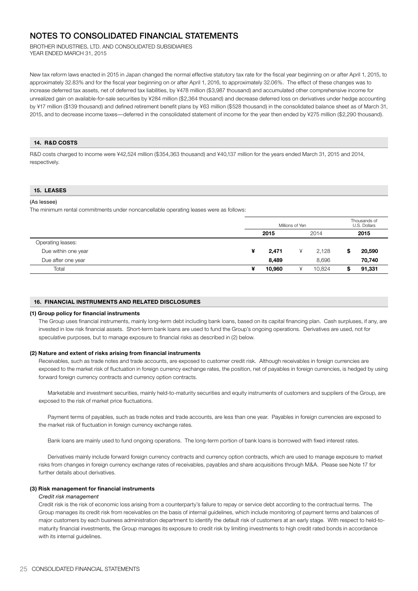BROTHER INDUSTRIES, LTD. AND CONSOLIDATED SUBSIDIARIES YEAR ENDED MARCH 31, 2015

New tax reform laws enacted in 2015 in Japan changed the normal effective statutory tax rate for the fiscal year beginning on or after April 1, 2015, to approximately 32.83% and for the fiscal year beginning on or after April 1, 2016, to approximately 32.06%. The effect of these changes was to increase deferred tax assets, net of deferred tax liabilities, by ¥478 million (\$3,987 thousand) and accumulated other comprehensive income for unrealized gain on available-for-sale securities by ¥284 million (\$2,364 thousand) and decrease deferred loss on derivatives under hedge accounting by ¥17 million (\$139 thousand) and defined retirement benefit plans by ¥63 million (\$528 thousand) in the consolidated balance sheet as of March 31, 2015, and to decrease income taxes—deferred in the consolidated statement of income for the year then ended by ¥275 million (\$2,290 thousand).

# **14. R&D COSTS**

R&D costs charged to income were ¥42,524 million (\$354,363 thousand) and ¥40,137 million for the years ended March 31, 2015 and 2014, respectively.

## **15. LEASES**

### (As lessee)

The minimum rental commitments under noncancellable operating leases were as follows:

|                     | Millions of Yen |        |   |        |    | Thousands of<br>U.S. Dollars |
|---------------------|-----------------|--------|---|--------|----|------------------------------|
|                     | 2014<br>2015    |        |   | 2015   |    |                              |
| Operating leases:   |                 |        |   |        |    |                              |
| Due within one year | ¥               | 2.471  | ¥ | 2.128  | \$ | 20,590                       |
| Due after one year  |                 | 8.489  |   | 8.696  |    | 70,740                       |
| Total               | ¥               | 10.960 |   | 10.824 | \$ | 91,331                       |

## **16. FINANCIAL INSTRUMENTS AND RELATED DISCLOSURES**

#### **(1) Group policy for financial instruments**

The Group uses financial instruments, mainly long-term debt including bank loans, based on its capital financing plan. Cash surpluses, if any, are invested in low risk financial assets. Short-term bank loans are used to fund the Group's ongoing operations. Derivatives are used, not for speculative purposes, but to manage exposure to financial risks as described in (2) below.

## **(2) Nature and extent of risks arising from financial instruments**

Receivables, such as trade notes and trade accounts, are exposed to customer credit risk. Although receivables in foreign currencies are exposed to the market risk of fluctuation in foreign currency exchange rates, the position, net of payables in foreign currencies, is hedged by using forward foreign currency contracts and currency option contracts.

Marketable and investment securities, mainly held-to-maturity securities and equity instruments of customers and suppliers of the Group, are exposed to the risk of market price fluctuations.

Payment terms of payables, such as trade notes and trade accounts, are less than one year. Payables in foreign currencies are exposed to the market risk of fluctuation in foreign currency exchange rates.

Bank loans are mainly used to fund ongoing operations. The long-term portion of bank loans is borrowed with fixed interest rates.

Derivatives mainly include forward foreign currency contracts and currency option contracts, which are used to manage exposure to market risks from changes in foreign currency exchange rates of receivables, payables and share acquisitions through M&A. Please see Note 17 for further details about derivatives.

# **(3) Risk management for financial instruments**

# *Credit risk management*

Credit risk is the risk of economic loss arising from a counterparty's failure to repay or service debt according to the contractual terms. The Group manages its credit risk from receivables on the basis of internal guidelines, which include monitoring of payment terms and balances of major customers by each business administration department to identify the default risk of customers at an early stage. With respect to held-tomaturity financial investments, the Group manages its exposure to credit risk by limiting investments to high credit rated bonds in accordance with its internal guidelines.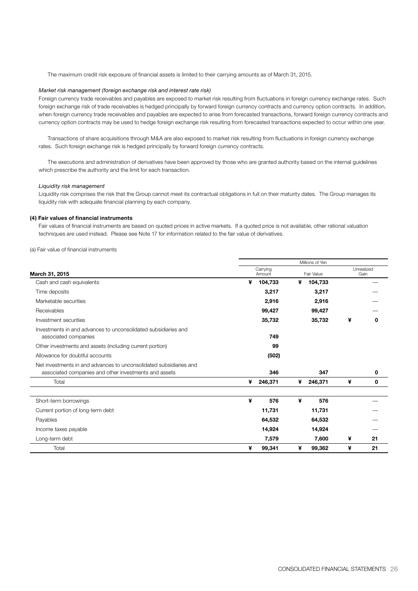The maximum credit risk exposure of financial assets is limited to their carrying amounts as of March 31, 2015.

### *Market risk management (foreign exchange risk and interest rate risk)*

Foreign currency trade receivables and payables are exposed to market risk resulting from fluctuations in foreign currency exchange rates. Such foreign exchange risk of trade receivables is hedged principally by forward foreign currency contracts and currency option contracts. In addition, when foreign currency trade receivables and payables are expected to arise from forecasted transactions, forward foreign currency contracts and currency option contracts may be used to hedge foreign exchange risk resulting from forecasted transactions expected to occur within one year.

Transactions of share acquisitions through M&A are also exposed to market risk resulting from fluctuations in foreign currency exchange rates. Such foreign exchange risk is hedged principally by forward foreign currency contracts.

The executions and administration of derivatives have been approved by those who are granted authority based on the internal guidelines which prescribe the authority and the limit for each transaction.

#### *Liquidity risk management*

Liquidity risk comprises the risk that the Group cannot meet its contractual obligations in full on their maturity dates. The Group manages its liquidity risk with adequate financial planning by each company.

#### **(4) Fair values of financial instruments**

Fair values of financial instruments are based on quoted prices in active markets. If a quoted price is not available, other rational valuation techniques are used instead. Please see Note 17 for information related to the fair value of derivatives.

## (a) Fair value of financial instruments

|                                                                                                                             | Millions of Yen |                    |            |         |   |                    |  |
|-----------------------------------------------------------------------------------------------------------------------------|-----------------|--------------------|------------|---------|---|--------------------|--|
| March 31, 2015                                                                                                              |                 | Carrying<br>Amount | Fair Value |         |   | Unrealized<br>Gain |  |
| Cash and cash equivalents                                                                                                   | ¥               | 104,733            | ¥          | 104,733 |   |                    |  |
| Time deposits                                                                                                               |                 | 3,217              |            | 3,217   |   |                    |  |
| Marketable securities                                                                                                       |                 | 2,916              |            | 2,916   |   |                    |  |
| Receivables                                                                                                                 |                 | 99,427             |            | 99,427  |   |                    |  |
| Investment securities                                                                                                       |                 | 35,732             |            | 35,732  | ¥ | 0                  |  |
| Investments in and advances to unconsolidated subsidiaries and<br>associated companies                                      |                 | 749                |            |         |   |                    |  |
| Other investments and assets (including current portion)                                                                    |                 | 99                 |            |         |   |                    |  |
| Allowance for doubtful accounts                                                                                             |                 | (502)              |            |         |   |                    |  |
| Net investments in and advances to unconsolidated subsidiaries and<br>associated companies and other investments and assets |                 | 346                |            | 347     |   | 0                  |  |
| Total                                                                                                                       | ¥               | 246,371            | ¥          | 246,371 | ¥ | 0                  |  |
| Short-term borrowings                                                                                                       | ¥               | 576                | ¥          | 576     |   |                    |  |
| Current portion of long-term debt                                                                                           |                 | 11,731             |            | 11,731  |   |                    |  |
| Payables                                                                                                                    |                 | 64,532             |            | 64,532  |   |                    |  |
| Income taxes payable                                                                                                        |                 | 14,924             |            | 14,924  |   |                    |  |
| Long-term debt                                                                                                              |                 | 7,579              |            | 7,600   | ¥ | 21                 |  |
| Total                                                                                                                       | ¥               | 99,341             | ¥          | 99,362  | ¥ | 21                 |  |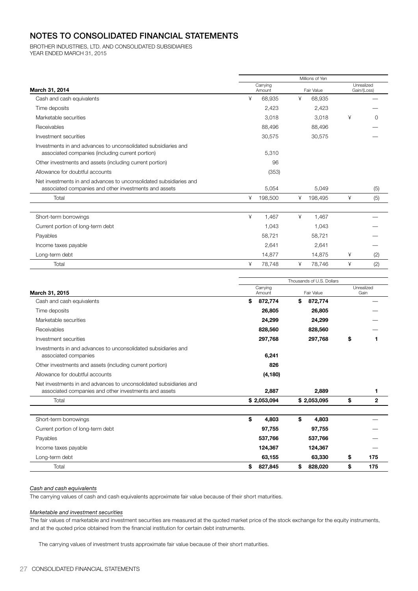BROTHER INDUSTRIES, LTD. AND CONSOLIDATED SUBSIDIARIES YEAR ENDED MARCH 31, 2015

|                                                                                                                             |   | Millions of Yen    |   |                                         |   |                           |  |  |  |
|-----------------------------------------------------------------------------------------------------------------------------|---|--------------------|---|-----------------------------------------|---|---------------------------|--|--|--|
| March 31, 2014                                                                                                              |   | Carrying<br>Amount |   | Fair Value                              |   | Unrealized<br>Gain/(Loss) |  |  |  |
| Cash and cash equivalents                                                                                                   |   | 68,935             | ¥ | 68,935                                  |   |                           |  |  |  |
| Time deposits                                                                                                               |   | 2,423              |   | 2,423                                   |   |                           |  |  |  |
| Marketable securities                                                                                                       |   | 3,018              |   | 3,018                                   | ¥ | O                         |  |  |  |
| Receivables                                                                                                                 |   | 88,496             |   | 88,496                                  |   |                           |  |  |  |
| Investment securities                                                                                                       |   | 30,575             |   | 30,575                                  |   |                           |  |  |  |
| Investments in and advances to unconsolidated subsidiaries and<br>associated companies (including current portion)          |   | 5,310              |   |                                         |   |                           |  |  |  |
| Other investments and assets (including current portion)                                                                    |   | 96                 |   |                                         |   |                           |  |  |  |
| Allowance for doubtful accounts                                                                                             |   | (353)              |   |                                         |   |                           |  |  |  |
| Net investments in and advances to unconsolidated subsidiaries and<br>associated companies and other investments and assets |   | 5,054              |   | 5,049                                   |   | (5)                       |  |  |  |
| Total                                                                                                                       | ¥ | 198,500            | ¥ | 198,495                                 | ¥ | (5)                       |  |  |  |
| Short-term borrowings                                                                                                       | ¥ | 1,467              | ¥ | 1,467                                   |   |                           |  |  |  |
| Current portion of long-term debt                                                                                           |   | 1,043              |   | 1,043                                   |   |                           |  |  |  |
| Payables                                                                                                                    |   | 58,721             |   | 58,721                                  |   |                           |  |  |  |
| Income taxes payable                                                                                                        |   | 2,641              |   | 2,641                                   |   |                           |  |  |  |
| Long-term debt                                                                                                              |   | 14,877             |   | 14,875                                  | ¥ | (2)                       |  |  |  |
| Total                                                                                                                       | ¥ | 78,748             | ¥ | 78,746                                  | ¥ | (2)                       |  |  |  |
|                                                                                                                             |   |                    |   | $T1$ $T2$ $T3$ $T4$ $T5$ $T6$ $T7$ $T8$ |   |                           |  |  |  |

|                                                                                                                             | Thousands of U.S. Dollars |                    |    |             |    |                    |  |  |
|-----------------------------------------------------------------------------------------------------------------------------|---------------------------|--------------------|----|-------------|----|--------------------|--|--|
| March 31, 2015                                                                                                              |                           | Carrying<br>Amount |    | Fair Value  |    | Unrealized<br>Gain |  |  |
| Cash and cash equivalents                                                                                                   |                           | 872,774            | \$ | 872,774     |    |                    |  |  |
| Time deposits                                                                                                               |                           | 26,805             |    | 26,805      |    |                    |  |  |
| Marketable securities                                                                                                       |                           | 24,299             |    | 24,299      |    |                    |  |  |
| Receivables                                                                                                                 |                           | 828,560            |    | 828,560     |    |                    |  |  |
| Investment securities                                                                                                       |                           | 297,768            |    | 297,768     | \$ |                    |  |  |
| Investments in and advances to unconsolidated subsidiaries and<br>associated companies                                      |                           | 6,241              |    |             |    |                    |  |  |
| Other investments and assets (including current portion)                                                                    |                           | 826                |    |             |    |                    |  |  |
| Allowance for doubtful accounts                                                                                             |                           | (4, 180)           |    |             |    |                    |  |  |
| Net investments in and advances to unconsolidated subsidiaries and<br>associated companies and other investments and assets |                           | 2,887              |    | 2,889       |    | 1                  |  |  |
| Total                                                                                                                       |                           | \$2,053,094        |    | \$2,053,095 | \$ | $\mathbf{2}$       |  |  |
| Short-term borrowings                                                                                                       | \$                        | 4,803              | \$ | 4,803       |    |                    |  |  |
| Current portion of long-term debt                                                                                           |                           | 97,755             |    | 97,755      |    |                    |  |  |
| Payables                                                                                                                    |                           | 537,766            |    | 537,766     |    |                    |  |  |
| Income taxes payable                                                                                                        |                           | 124,367            |    | 124,367     |    |                    |  |  |
| Long-term debt                                                                                                              |                           | 63,155             |    | 63,330      | \$ | 175                |  |  |
| Total                                                                                                                       | \$                        | 827,845            | \$ | 828,020     | \$ | 175                |  |  |
|                                                                                                                             |                           |                    |    |             |    |                    |  |  |

# *Cash and cash equivalents*

The carrying values of cash and cash equivalents approximate fair value because of their short maturities.

# *Marketable and investment securities*

The fair values of marketable and investment securities are measured at the quoted market price of the stock exchange for the equity instruments, and at the quoted price obtained from the financial institution for certain debt instruments.

The carrying values of investment trusts approximate fair value because of their short maturities.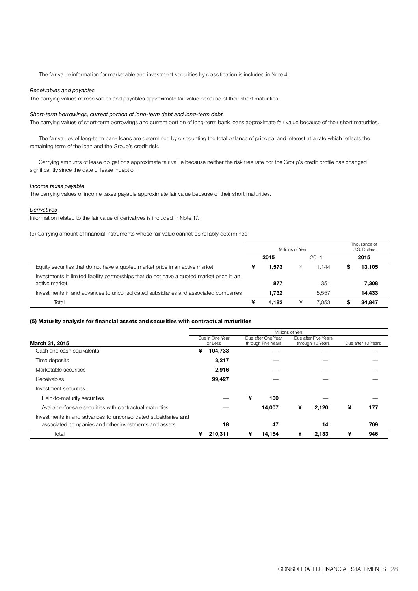The fair value information for marketable and investment securities by classification is included in Note 4.

## *Receivables and payables*

The carrying values of receivables and payables approximate fair value because of their short maturities.

# *Short-term borrowings, current portion of long-term debt and long-term debt*

The carrying values of short-term borrowings and current portion of long-term bank loans approximate fair value because of their short maturities.

The fair values of long-term bank loans are determined by discounting the total balance of principal and interest at a rate which reflects the remaining term of the loan and the Group's credit risk.

Carrying amounts of lease obligations approximate fair value because neither the risk free rate nor the Group's credit profile has changed significantly since the date of lease inception.

## *Income taxes payable*

The carrying values of income taxes payable approximate fair value because of their short maturities.

# *Derivatives*

Information related to the fair value of derivatives is included in Note 17.

(b) Carrying amount of financial instruments whose fair value cannot be reliably determined

|                                                                                                             | Millions of Yen<br>2014<br>2015 |       |  | Thousands of<br>U.S. Dollars<br>2015 |   |        |
|-------------------------------------------------------------------------------------------------------------|---------------------------------|-------|--|--------------------------------------|---|--------|
|                                                                                                             |                                 |       |  |                                      |   |        |
| Equity securities that do not have a quoted market price in an active market                                |                                 | 1.573 |  | 1.144                                | S | 13.105 |
| Investments in limited liability partnerships that do not have a quoted market price in an<br>active market |                                 | 877   |  | 351                                  |   | 7,308  |
| Investments in and advances to unconsolidated subsidiaries and associated companies                         |                                 | 1.732 |  | 5.557                                |   | 14.433 |
| Total                                                                                                       | ¥                               | 4.182 |  | 7.053                                |   | 34.847 |

# **(5) Maturity analysis for financial assets and securities with contractual maturities**

|                                                                | Millions of Yen |                 |   |                    |   |                      |   |                    |
|----------------------------------------------------------------|-----------------|-----------------|---|--------------------|---|----------------------|---|--------------------|
|                                                                |                 | Due in One Year |   | Due after One Year |   | Due after Five Years |   |                    |
| March 31, 2015                                                 |                 | or Less         |   | through Five Years |   | through 10 Years     |   | Due after 10 Years |
| Cash and cash equivalents                                      | ¥               | 104,733         |   |                    |   |                      |   |                    |
| Time deposits                                                  |                 | 3,217           |   |                    |   |                      |   |                    |
| Marketable securities                                          |                 | 2,916           |   |                    |   |                      |   |                    |
| Receivables                                                    |                 | 99,427          |   |                    |   |                      |   |                    |
| Investment securities:                                         |                 |                 |   |                    |   |                      |   |                    |
| Held-to-maturity securities                                    |                 |                 | ¥ | 100                |   |                      |   |                    |
| Available-for-sale securities with contractual maturities      |                 |                 |   | 14,007             | ¥ | 2.120                | ¥ | 177                |
| Investments in and advances to unconsolidated subsidiaries and |                 |                 |   |                    |   |                      |   |                    |
| associated companies and other investments and assets          |                 | 18              |   | 47                 |   | 14                   |   | 769                |
| Total                                                          | ¥               | 210.311         | ¥ | 14.154             | ¥ | 2.133                | ¥ | 946                |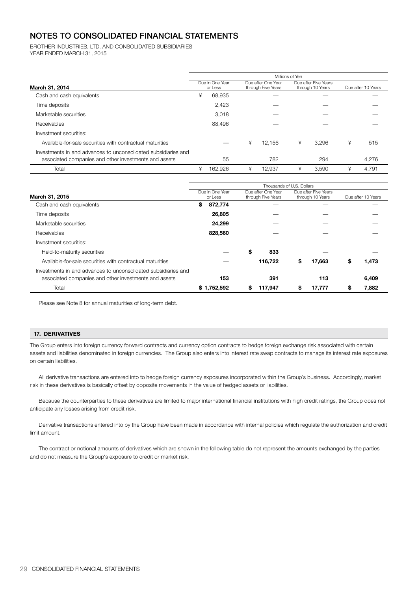BROTHER INDUSTRIES, LTD. AND CONSOLIDATED SUBSIDIARIES YEAR ENDED MARCH 31, 2015

|                                                                |   |                 | Millions of Yen |                    |   |                      |   |                    |  |
|----------------------------------------------------------------|---|-----------------|-----------------|--------------------|---|----------------------|---|--------------------|--|
|                                                                |   | Due in One Year |                 | Due after One Year |   | Due after Five Years |   |                    |  |
| March 31, 2014                                                 |   | or Less         |                 | through Five Years |   | through 10 Years     |   | Due after 10 Years |  |
| Cash and cash equivalents                                      | ¥ | 68,935          |                 |                    |   |                      |   |                    |  |
| Time deposits                                                  |   | 2,423           |                 |                    |   |                      |   |                    |  |
| Marketable securities                                          |   | 3,018           |                 |                    |   |                      |   |                    |  |
| Receivables                                                    |   | 88.496          |                 |                    |   |                      |   |                    |  |
| Investment securities:                                         |   |                 |                 |                    |   |                      |   |                    |  |
| Available-for-sale securities with contractual maturities      |   |                 | ¥               | 12.156             | ¥ | 3.296                | ¥ | 515                |  |
| Investments in and advances to unconsolidated subsidiaries and |   |                 |                 |                    |   |                      |   |                    |  |
| associated companies and other investments and assets          |   | 55              |                 | 782                |   | 294                  |   | 4,276              |  |
| Total                                                          |   | 162.926         |                 | 12.937             | ¥ | 3.590                | ¥ | 4.791              |  |

|                                                                | Thousands of U.S. Dollars |                            |    |                                          |    |                                          |    |                    |
|----------------------------------------------------------------|---------------------------|----------------------------|----|------------------------------------------|----|------------------------------------------|----|--------------------|
| March 31, 2015                                                 |                           | Due in One Year<br>or Less |    | Due after One Year<br>through Five Years |    | Due after Five Years<br>through 10 Years |    | Due after 10 Years |
| Cash and cash equivalents                                      | \$                        | 872,774                    |    |                                          |    |                                          |    |                    |
| Time deposits                                                  |                           | 26,805                     |    |                                          |    |                                          |    |                    |
| Marketable securities                                          |                           | 24,299                     |    |                                          |    |                                          |    |                    |
| Receivables                                                    |                           | 828,560                    |    |                                          |    |                                          |    |                    |
| Investment securities:                                         |                           |                            |    |                                          |    |                                          |    |                    |
| Held-to-maturity securities                                    |                           |                            | \$ | 833                                      |    |                                          |    |                    |
| Available-for-sale securities with contractual maturities      |                           |                            |    | 116,722                                  | \$ | 17,663                                   | \$ | 1,473              |
| Investments in and advances to unconsolidated subsidiaries and |                           |                            |    |                                          |    |                                          |    |                    |
| associated companies and other investments and assets          |                           | 153                        |    | 391                                      |    | 113                                      |    | 6,409              |
| Total                                                          |                           | \$1,752,592                | \$ | 117.947                                  | \$ | 17,777                                   | S  | 7,882              |

Please see Note 8 for annual maturities of long-term debt.

# **17. DERIVATIVES**

The Group enters into foreign currency forward contracts and currency option contracts to hedge foreign exchange risk associated with certain assets and liabilities denominated in foreign currencies. The Group also enters into interest rate swap contracts to manage its interest rate exposures on certain liabilities.

All derivative transactions are entered into to hedge foreign currency exposures incorporated within the Group's business. Accordingly, market risk in these derivatives is basically offset by opposite movements in the value of hedged assets or liabilities.

Because the counterparties to these derivatives are limited to major international financial institutions with high credit ratings, the Group does not anticipate any losses arising from credit risk.

Derivative transactions entered into by the Group have been made in accordance with internal policies which regulate the authorization and credit limit amount.

The contract or notional amounts of derivatives which are shown in the following table do not represent the amounts exchanged by the parties and do not measure the Group's exposure to credit or market risk.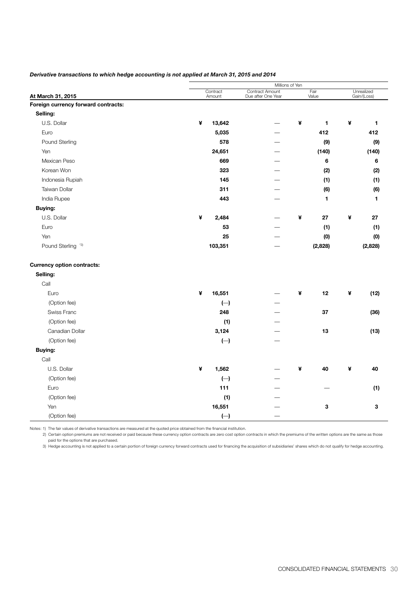|   |         | Contract Amount                                                                                                                                                                           |                    |                           | Unrealized                                         |              |
|---|---------|-------------------------------------------------------------------------------------------------------------------------------------------------------------------------------------------|--------------------|---------------------------|----------------------------------------------------|--------------|
|   |         |                                                                                                                                                                                           | Value              |                           | Gain/(Loss)                                        |              |
|   |         |                                                                                                                                                                                           |                    |                           |                                                    |              |
|   |         |                                                                                                                                                                                           |                    |                           |                                                    |              |
|   |         |                                                                                                                                                                                           |                    |                           |                                                    | $\mathbf{1}$ |
|   |         |                                                                                                                                                                                           |                    |                           |                                                    | 412          |
|   |         |                                                                                                                                                                                           |                    |                           |                                                    | (9)          |
|   |         |                                                                                                                                                                                           |                    |                           |                                                    | (140)        |
|   | 669     |                                                                                                                                                                                           |                    | 6                         |                                                    | 6            |
|   | 323     | $\overline{\phantom{0}}$                                                                                                                                                                  |                    |                           |                                                    | (2)          |
|   | 145     |                                                                                                                                                                                           |                    | (1)                       |                                                    | (1)          |
|   | 311     |                                                                                                                                                                                           |                    | (6)                       |                                                    | (6)          |
|   | 443     |                                                                                                                                                                                           |                    | 1                         |                                                    | $\mathbf{1}$ |
|   |         |                                                                                                                                                                                           |                    |                           |                                                    |              |
| ¥ | 2,484   |                                                                                                                                                                                           | ¥                  | 27                        | ¥                                                  | 27           |
|   | 53      |                                                                                                                                                                                           |                    | (1)                       |                                                    | (1)          |
|   | 25      |                                                                                                                                                                                           |                    | (0)                       |                                                    | (0)          |
|   | 103,351 |                                                                                                                                                                                           |                    | (2,828)                   |                                                    | (2,828)      |
|   |         |                                                                                                                                                                                           |                    |                           |                                                    |              |
|   |         |                                                                                                                                                                                           |                    |                           |                                                    |              |
|   |         |                                                                                                                                                                                           |                    |                           |                                                    |              |
| ¥ | 16,551  |                                                                                                                                                                                           | ¥                  | 12                        | ¥                                                  | (12)         |
|   |         |                                                                                                                                                                                           |                    |                           |                                                    |              |
|   | 248     |                                                                                                                                                                                           |                    | 37                        |                                                    | (36)         |
|   |         |                                                                                                                                                                                           |                    |                           |                                                    |              |
|   |         |                                                                                                                                                                                           |                    | 13                        |                                                    | (13)         |
|   |         |                                                                                                                                                                                           |                    |                           |                                                    |              |
|   |         |                                                                                                                                                                                           |                    |                           |                                                    |              |
|   |         |                                                                                                                                                                                           |                    |                           |                                                    |              |
|   |         |                                                                                                                                                                                           |                    |                           |                                                    | 40           |
|   |         |                                                                                                                                                                                           |                    |                           |                                                    |              |
|   |         |                                                                                                                                                                                           |                    |                           |                                                    | (1)          |
|   |         |                                                                                                                                                                                           |                    |                           |                                                    |              |
|   |         |                                                                                                                                                                                           |                    |                           |                                                    | 3            |
|   |         |                                                                                                                                                                                           |                    |                           |                                                    |              |
|   | ¥<br>¥  | Contract<br>Amount<br>13,642<br>5,035<br>578<br>24,651<br>$\left($<br>(1)<br>3,124<br>$\left( \rightarrow \right)$<br>1,562<br>$\left(\right)$<br>111<br>(1)<br>16,551<br>$\left(\right)$ | Due after One Year | Millions of Yen<br>¥<br>¥ | Fair<br>1<br>412<br>(9)<br>(140)<br>(2)<br>40<br>3 | ¥<br>¥       |

# *Derivative transactions to which hedge accounting is not applied at March 31, 2015 and 2014*

Notes: 1) The fair values of derivative transactions are measured at the quoted price obtained from the financial institution.

2) Certain option premiums are not received or paid because these currency option contracts are zero cost option contracts in which the premiums of the written options are the same as those paid for the options that are purchased.

3) Hedge accounting is not applied to a certain portion of foreign currency forward contracts used for financing the acquisition of subsidiaries' shares which do not qualify for hedge accounting.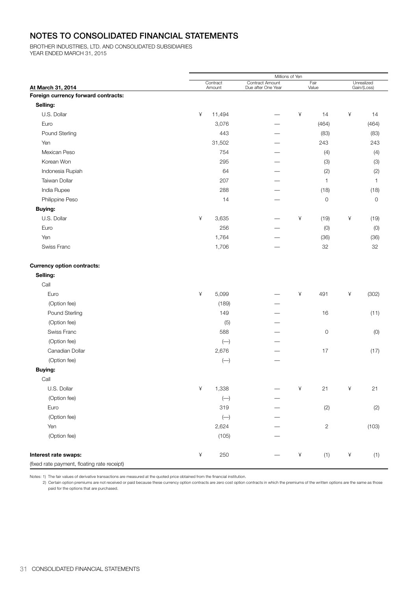BROTHER INDUSTRIES, LTD. AND CONSOLIDATED SUBSIDIARIES YEAR ENDED MARCH 31, 2015

|                                             | Millions of Yen |                                                                               |                                       |   |                         |                           |                     |  |  |
|---------------------------------------------|-----------------|-------------------------------------------------------------------------------|---------------------------------------|---|-------------------------|---------------------------|---------------------|--|--|
| At March 31, 2014                           |                 | Contract<br>Amount                                                            | Contract Amount<br>Due after One Year |   | Fair<br>Value           | Unrealized<br>Gain/(Loss) |                     |  |  |
| Foreign currency forward contracts:         |                 |                                                                               |                                       |   |                         |                           |                     |  |  |
| Selling:                                    |                 |                                                                               |                                       |   |                         |                           |                     |  |  |
| U.S. Dollar                                 | ¥               | 11,494                                                                        |                                       | ¥ | 14                      | ¥                         | 14                  |  |  |
| Euro                                        |                 | 3,076                                                                         |                                       |   | (464)                   |                           | (464)               |  |  |
| Pound Sterling                              |                 | 443                                                                           |                                       |   | (83)                    |                           | (83)                |  |  |
| Yen                                         |                 | 31,502                                                                        |                                       |   | 243                     |                           | 243                 |  |  |
| Mexican Peso                                |                 | 754                                                                           |                                       |   | (4)                     |                           | (4)                 |  |  |
| Korean Won                                  |                 | 295                                                                           |                                       |   | (3)                     |                           | (3)                 |  |  |
| Indonesia Rupiah                            |                 | 64                                                                            |                                       |   | (2)                     |                           | (2)                 |  |  |
| Taiwan Dollar                               |                 | 207                                                                           |                                       |   | $\mathbf{1}$            |                           | 1                   |  |  |
| India Rupee                                 |                 | 288                                                                           |                                       |   | (18)                    |                           | (18)                |  |  |
| Philippine Peso                             |                 | 14                                                                            |                                       |   | $\mathbf 0$             |                           | $\mathsf{O}\xspace$ |  |  |
| <b>Buying:</b>                              |                 |                                                                               |                                       |   |                         |                           |                     |  |  |
| U.S. Dollar                                 | ¥               | 3,635                                                                         |                                       | ¥ | (19)                    | ¥                         | (19)                |  |  |
| Euro                                        |                 | 256                                                                           |                                       |   | (0)                     |                           | (0)                 |  |  |
| Yen                                         |                 | 1,764                                                                         |                                       |   | (36)                    |                           | (36)                |  |  |
| Swiss Franc                                 |                 | 1,706                                                                         |                                       |   | 32                      |                           | 32                  |  |  |
| <b>Currency option contracts:</b>           |                 |                                                                               |                                       |   |                         |                           |                     |  |  |
| Selling:                                    |                 |                                                                               |                                       |   |                         |                           |                     |  |  |
| Call                                        |                 |                                                                               |                                       |   |                         |                           |                     |  |  |
| Euro                                        | ¥               | 5,099                                                                         |                                       | ¥ | 491                     | ¥                         | (302)               |  |  |
| (Option fee)                                |                 | (189)                                                                         |                                       |   |                         |                           |                     |  |  |
| Pound Sterling                              |                 | 149                                                                           |                                       |   | 16                      |                           | (11)                |  |  |
| (Option fee)                                |                 | (5)                                                                           |                                       |   |                         |                           |                     |  |  |
| Swiss Franc                                 |                 | 588                                                                           |                                       |   | $\mathsf O$             |                           | (0)                 |  |  |
| (Option fee)                                |                 | $\left(\rightleftarrow\right)$                                                |                                       |   |                         |                           |                     |  |  |
| Canadian Dollar                             |                 | 2,676                                                                         |                                       |   | 17                      |                           | (17)                |  |  |
| (Option fee)                                |                 | $\left(\rightleftarrow\right)$                                                |                                       |   |                         |                           |                     |  |  |
| <b>Buying:</b>                              |                 |                                                                               |                                       |   |                         |                           |                     |  |  |
| Call                                        |                 |                                                                               |                                       |   |                         |                           |                     |  |  |
| U.S. Dollar                                 | ¥               | 1,338                                                                         |                                       | ¥ | 21                      | ¥                         | 21                  |  |  |
| (Option fee)                                |                 | $\left( \begin{matrix} - & \\ & \end{matrix} \right)$                         |                                       |   |                         |                           |                     |  |  |
| Euro                                        |                 | 319                                                                           |                                       |   | (2)                     |                           | (2)                 |  |  |
| (Option fee)                                |                 | $\left( \begin{matrix} \text{ } \\ \text{ } \\ \text{ } \end{matrix} \right)$ |                                       |   |                         |                           |                     |  |  |
| Yen                                         |                 | 2,624                                                                         |                                       |   | $\overline{\mathbf{c}}$ |                           | (103)               |  |  |
| (Option fee)                                |                 | (105)                                                                         |                                       |   |                         |                           |                     |  |  |
| Interest rate swaps:                        | ¥               | 250                                                                           |                                       | ¥ | (1)                     | ¥                         | (1)                 |  |  |
| (fixed rate payment, floating rate receipt) |                 |                                                                               |                                       |   |                         |                           |                     |  |  |

Notes: 1) The fair values of derivative transactions are measured at the quoted price obtained from the financial institution.

2) Certain option premiums are not received or paid because these currency option contracts are zero cost option contracts in which the premiums of the written options are the same as those paid for the options that are purchased.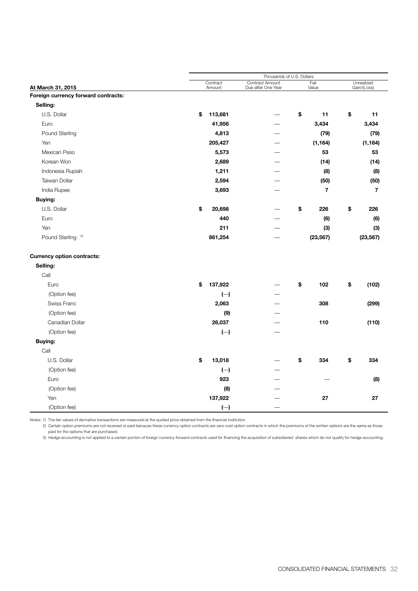|                                     |                    |                              | Thousands of U.S. Dollars             |      |           |                           |           |
|-------------------------------------|--------------------|------------------------------|---------------------------------------|------|-----------|---------------------------|-----------|
| At March 31, 2015                   | Contract<br>Amount |                              | Contract Amount<br>Due after One Year | Fair |           | Unrealized<br>Gain/(Loss) |           |
| Foreign currency forward contracts: |                    |                              |                                       |      | Value     |                           |           |
| Selling:                            |                    |                              |                                       |      |           |                           |           |
| U.S. Dollar                         | \$                 | 113,681                      |                                       | \$   | 11        | \$                        | 11        |
| Euro                                |                    | 41,956                       |                                       |      | 3,434     |                           | 3,434     |
| Pound Sterling                      |                    | 4,813                        |                                       |      | (79)      |                           | (79)      |
| Yen                                 |                    | 205,427                      |                                       |      | (1, 164)  |                           | (1, 164)  |
| Mexican Peso                        |                    | 5,573                        |                                       |      | 53        |                           | 53        |
| Korean Won                          |                    | 2,689                        |                                       |      | (14)      |                           | (14)      |
| Indonesia Rupiah                    |                    | 1,211                        |                                       |      | (8)       |                           | (8)       |
| Taiwan Dollar                       |                    | 2,594                        |                                       |      | (50)      |                           | (50)      |
| India Rupee                         |                    | 3,693                        |                                       |      | $\bf 7$   |                           | $\bf 7$   |
| <b>Buying:</b>                      |                    |                              |                                       |      |           |                           |           |
| U.S. Dollar                         | \$                 | 20,698                       |                                       | \$   | 226       | \$                        | 226       |
| Euro                                |                    | 440                          |                                       |      | (6)       |                           | (6)       |
| Yen                                 |                    | 211                          |                                       |      | (3)       |                           | (3)       |
| Pound Sterling *3)                  |                    | 861,254                      |                                       |      | (23, 567) |                           | (23, 567) |
| <b>Currency option contracts:</b>   |                    |                              |                                       |      |           |                           |           |
| Selling:                            |                    |                              |                                       |      |           |                           |           |
| Call                                |                    |                              |                                       |      |           |                           |           |
| Euro                                | \$                 | 137,922                      |                                       | \$   | 102       | \$                        | (102)     |
| (Option fee)                        |                    | $\left( \rightarrow \right)$ |                                       |      |           |                           |           |
| Swiss Franc                         |                    | 2,063                        |                                       |      | 308       |                           | (299)     |
| (Option fee)                        |                    | (9)                          |                                       |      |           |                           |           |
| Canadian Dollar                     |                    | 26,037                       |                                       |      | 110       |                           | (110)     |
| (Option fee)                        |                    | $\left(\rightarrow\right)$   |                                       |      |           |                           |           |
| <b>Buying:</b>                      |                    |                              |                                       |      |           |                           |           |
| Call                                |                    |                              |                                       |      |           |                           |           |
| U.S. Dollar                         | \$                 | 13,018                       |                                       | \$   | 334       | \$                        | 334       |
| (Option fee)                        |                    | $\left(\right)$              |                                       |      |           |                           |           |
| Euro                                |                    | 923                          |                                       |      |           |                           | (8)       |
| (Option fee)                        |                    | (8)                          |                                       |      |           |                           |           |
| Yen                                 |                    | 137,922                      |                                       |      | 27        |                           | 27        |
| (Option fee)                        |                    | $\left( \rightarrow \right)$ |                                       |      |           |                           |           |

Notes: 1) The fair values of derivative transactions are measured at the quoted price obtained from the financial institution.

2) Certain option premiums are not received or paid because these currency option contracts are zero cost option contracts in which the premiums of the written options are the same as those paid for the options that are purchased.

3) Hedge accounting is not applied to a certain portion of foreign currency forward contracts used for financing the acquisition of subsidiaries' shares which do not qualify for hedge accounting.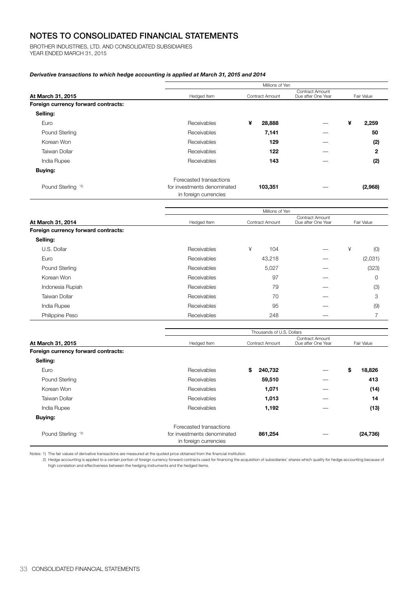BROTHER INDUSTRIES, LTD. AND CONSOLIDATED SUBSIDIARIES YEAR ENDED MARCH 31, 2015

# *Derivative transactions to which hedge accounting is applied at March 31, 2015 and 2014*

|                                     | Millions of Yen                                                                 |                           |                                                     |                |  |  |  |  |  |
|-------------------------------------|---------------------------------------------------------------------------------|---------------------------|-----------------------------------------------------|----------------|--|--|--|--|--|
| At March 31, 2015                   | Hedged Item                                                                     | Contract Amount           | Contract Amount<br>Due after One Year<br>Fair Value |                |  |  |  |  |  |
| Foreign currency forward contracts: |                                                                                 |                           |                                                     |                |  |  |  |  |  |
| Selling:                            |                                                                                 |                           |                                                     |                |  |  |  |  |  |
| Euro                                | Receivables                                                                     | ¥<br>28,888               |                                                     | ¥<br>2,259     |  |  |  |  |  |
| Pound Sterling                      | Receivables                                                                     | 7,141                     |                                                     | 50             |  |  |  |  |  |
| Korean Won                          | Receivables                                                                     | 129                       |                                                     | (2)            |  |  |  |  |  |
| <b>Taiwan Dollar</b>                | Receivables                                                                     | 122                       |                                                     | $\mathbf{2}$   |  |  |  |  |  |
| India Rupee                         | Receivables                                                                     | 143                       |                                                     | (2)            |  |  |  |  |  |
| Buying:                             |                                                                                 |                           |                                                     |                |  |  |  |  |  |
| Pound Sterling *2)                  | Forecasted transactions<br>for investments denominated<br>in foreign currencies | 103,351                   |                                                     | (2,968)        |  |  |  |  |  |
|                                     |                                                                                 | Millions of Yen           |                                                     |                |  |  |  |  |  |
| At March 31, 2014                   | Hedged Item                                                                     | Contract Amount           | Contract Amount<br>Due after One Year               | Fair Value     |  |  |  |  |  |
| Foreign currency forward contracts: |                                                                                 |                           |                                                     |                |  |  |  |  |  |
| Selling:                            |                                                                                 |                           |                                                     |                |  |  |  |  |  |
| U.S. Dollar                         | Receivables                                                                     | 104<br>¥                  |                                                     | ¥<br>(0)       |  |  |  |  |  |
| Euro                                | Receivables                                                                     | 43,218                    |                                                     | (2,031)        |  |  |  |  |  |
| Pound Sterling                      | Receivables                                                                     | 5,027                     |                                                     | (323)          |  |  |  |  |  |
| Korean Won                          | Receivables                                                                     | 97                        |                                                     | $\Omega$       |  |  |  |  |  |
| Indonesia Rupiah                    | Receivables                                                                     | 79                        |                                                     | (3)            |  |  |  |  |  |
| <b>Taiwan Dollar</b>                | Receivables                                                                     | 70                        |                                                     | 3              |  |  |  |  |  |
| India Rupee                         | Receivables                                                                     | 95                        |                                                     | (9)            |  |  |  |  |  |
| Philippine Peso                     | Receivables                                                                     | 248                       |                                                     | $\overline{7}$ |  |  |  |  |  |
|                                     |                                                                                 | Thousands of U.S. Dollars |                                                     |                |  |  |  |  |  |
| At March 31, 2015                   | Hedged Item                                                                     | Contract Amount           | Contract Amount<br>Due after One Year               | Fair Value     |  |  |  |  |  |
| Foreign currency forward contracts: |                                                                                 |                           |                                                     |                |  |  |  |  |  |
| Selling:                            |                                                                                 |                           |                                                     |                |  |  |  |  |  |
| Euro                                | Receivables                                                                     | 240,732<br>S              |                                                     | 18,826<br>\$   |  |  |  |  |  |
| Pound Sterling                      | Receivables                                                                     | 59,510                    |                                                     | 413            |  |  |  |  |  |

Korean Won Receivables **1,071** – **(14)** Taiwan Dollar **14**<br>Taiwan Dollar **14** India Rupee **1,192** – **1,192** – **(13) Buying:** Pound Sterling \*2) Forecasted transactions for investments denominated in foreign currencies **861,254** – **(24,736)**

Notes: 1) The fair values of derivative transactions are measured at the quoted price obtained from the financial institution.

2) Hedge accounting is applied to a certain portion of foreign currency forward contracts used for financing the acquisition of subsidiaries' shares which qualify for hedge accounting because of high correlation and effectiveness between the hedging instruments and the hedged items.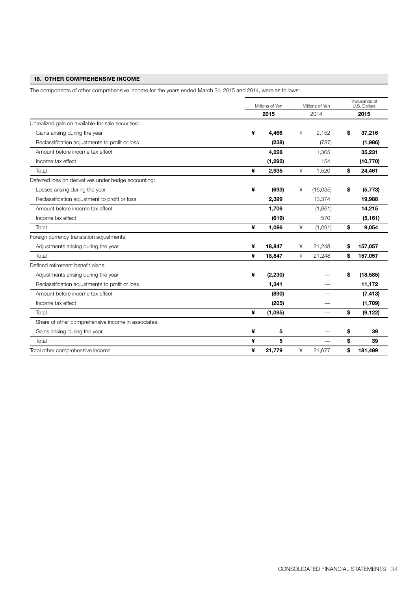# **18. OTHER COMPREHENSIVE INCOME**

The components of other comprehensive income for the years ended March 31, 2015 and 2014, were as follows:

|                                                      |   | Millions of Yen<br>2015 |   | Millions of Yen<br>2014  |    | Thousands of<br>U.S. Dollars |  |
|------------------------------------------------------|---|-------------------------|---|--------------------------|----|------------------------------|--|
|                                                      |   |                         |   |                          |    | 2015                         |  |
| Unrealized gain on available-for-sale securities:    |   |                         |   |                          |    |                              |  |
| Gains arising during the year                        | ¥ | 4,466                   | ¥ | 2,152                    | \$ | 37,216                       |  |
| Reclassification adjustments to profit or loss       |   | (238)                   |   | (787)                    |    | (1,986)                      |  |
| Amount before income tax effect                      |   | 4,228                   |   | 1,365                    |    | 35,231                       |  |
| Income tax effect                                    |   | (1,292)                 |   | 154                      |    | (10, 770)                    |  |
| Total                                                | ¥ | 2,935                   | ¥ | 1,520                    | \$ | 24,461                       |  |
| Deferred loss on derivatives under hedge accounting: |   |                         |   |                          |    |                              |  |
| Losses arising during the year                       | ¥ | (693)                   | ¥ | (15,035)                 | \$ | (5,773)                      |  |
| Reclassification adjustment to profit or loss        |   | 2,399                   |   | 13,374                   |    | 19,988                       |  |
| Amount before income tax effect                      |   | 1,706                   |   | (1,661)                  |    | 14,215                       |  |
| Income tax effect                                    |   | (619)                   |   | 570                      |    | (5, 161)                     |  |
| Total                                                | ¥ | 1,086                   | ¥ | (1,091)                  | \$ | 9,054                        |  |
| Foreign currency translation adjustments:            |   |                         |   |                          |    |                              |  |
| Adjustments arising during the year                  | ¥ | 18,847                  | ¥ | 21,248                   | \$ | 157,057                      |  |
| Total                                                | ¥ | 18,847                  | ¥ | 21,248                   | \$ | 157,057                      |  |
| Defined retirement benefit plans:                    |   |                         |   |                          |    |                              |  |
| Adjustments arising during the year                  | ¥ | (2, 230)                |   |                          | \$ | (18, 585)                    |  |
| Reclassification adjustments to profit or loss       |   | 1,341                   |   |                          |    | 11,172                       |  |
| Amount before income tax effect                      |   | (890)                   |   |                          |    | (7, 413)                     |  |
| Income tax effect                                    |   | (205)                   |   |                          |    | (1,709)                      |  |
| Total                                                | ¥ | (1,095)                 |   | $\overline{\phantom{0}}$ | \$ | (9, 122)                     |  |
| Share of other comprehensive income in associates:   |   |                         |   |                          |    |                              |  |
| Gains arising during the year                        | ¥ | 5                       |   |                          | \$ | 39                           |  |
| Total                                                | ¥ | 5                       |   |                          | \$ | 39                           |  |
| Total other comprehensive income                     | ¥ | 21,779                  | ¥ | 21,677                   | \$ | 181,489                      |  |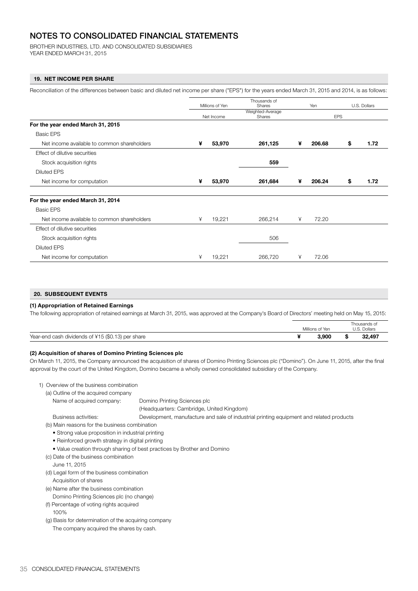BROTHER INDUSTRIES, LTD. AND CONSOLIDATED SUBSIDIARIES YEAR ENDED MARCH 31, 2015

# **19. NET INCOME PER SHARE**

Reconciliation of the differences between basic and diluted net income per share ("EPS") for the years ended March 31, 2015 and 2014, is as follows:

|                                             |            |                 | Thousands of               |   |        |            |              |
|---------------------------------------------|------------|-----------------|----------------------------|---|--------|------------|--------------|
|                                             |            | Millions of Yen | Shares                     |   | Yen    |            | U.S. Dollars |
|                                             | Net Income |                 | Weighted-Average<br>Shares |   |        | <b>EPS</b> |              |
| For the year ended March 31, 2015           |            |                 |                            |   |        |            |              |
| <b>Basic EPS</b>                            |            |                 |                            |   |        |            |              |
| Net income available to common shareholders | ¥          | 53,970          | 261,125                    | ¥ | 206.68 | S          | 1.72         |
| Effect of dilutive securities               |            |                 |                            |   |        |            |              |
| Stock acquisition rights                    |            |                 | 559                        |   |        |            |              |
| <b>Diluted EPS</b>                          |            |                 |                            |   |        |            |              |
| Net income for computation                  | ¥          | 53,970          | 261,684                    | ¥ | 206.24 | \$         | 1.72         |
|                                             |            |                 |                            |   |        |            |              |
| For the year ended March 31, 2014           |            |                 |                            |   |        |            |              |
| <b>Basic EPS</b>                            |            |                 |                            |   |        |            |              |
| Net income available to common shareholders | ¥          | 19,221          | 266,214                    | ¥ | 72.20  |            |              |
| Effect of dilutive securities               |            |                 |                            |   |        |            |              |
| Stock acquisition rights                    |            |                 | 506                        |   |        |            |              |
| <b>Diluted EPS</b>                          |            |                 |                            |   |        |            |              |
| Net income for computation                  | ¥          | 19,221          | 266,720                    | ¥ | 72.06  |            |              |

## **20. SUBSEQUENT EVENTS**

## **(1) Appropriation of Retained Earnings**

The following appropriation of retained earnings at March 31, 2015, was approved at the Company's Board of Directors' meeting held on May 15, 2015:

|                                                   | Millions of Yen | Thousands of<br>U.S. Dollars |
|---------------------------------------------------|-----------------|------------------------------|
| Year-end cash dividends of ¥15 (\$0.13) per share | 3.900           | 32.497                       |

# **(2) Acquisition of shares of Domino Printing Sciences plc**

On March 11, 2015, the Company announced the acquisition of shares of Domino Printing Sciences plc ("Domino"). On June 11, 2015, after the final approval by the court of the United Kingdom, Domino became a wholly owned consolidated subsidiary of the Company.

1) Overview of the business combination

(a) Outline of the acquired company

Name of acquired company: Domino Printing Sciences plc

(Headquarters: Cambridge, United Kingdom)

Business activities: Development, manufacture and sale of industrial printing equipment and related products

(b) Main reasons for the business combination

- Strong value proposition in industrial printing
- Reinforced growth strategy in digital printing
- Value creation through sharing of best practices by Brother and Domino
- (c) Date of the business combination
	- June 11, 2015
- (d) Legal form of the business combination

Acquisition of shares

- (e) Name after the business combination
- Domino Printing Sciences plc (no change) (f) Percentage of voting rights acquired
- 100%
- (g) Basis for determination of the acquiring company The company acquired the shares by cash.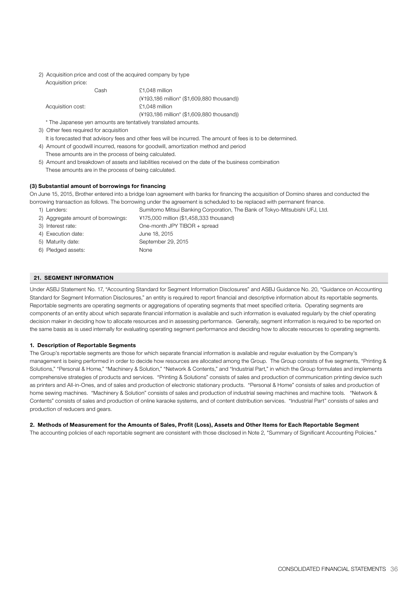2) Acquisition price and cost of the acquired company by type

| Acquisition price: |      |                                            |
|--------------------|------|--------------------------------------------|
|                    | Cash | £1,048 million                             |
|                    |      | (¥193,186 million* (\$1,609,880 thousand)) |
| Acquisition cost:  |      | £1.048 million                             |
|                    |      | (¥193,186 million* (\$1,609,880 thousand)) |
|                    |      |                                            |

The Japanese ven amounts are tentatively translated amounts.

- 3) Other fees required for acquisition
	- It is forecasted that advisory fees and other fees will be incurred. The amount of fees is to be determined.
- 4) Amount of goodwill incurred, reasons for goodwill, amortization method and period These amounts are in the process of being calculated.
- 5) Amount and breakdown of assets and liabilities received on the date of the business combination These amounts are in the process of being calculated.

## **(3) Substantial amount of borrowings for financing**

On June 15, 2015, Brother entered into a bridge loan agreement with banks for financing the acquisition of Domino shares and conducted the borrowing transaction as follows. The borrowing under the agreement is scheduled to be replaced with permanent finance.

| 1) Lenders:                        | Sumitomo Mitsui Banking Corporation, The Bank of Tokyo-Mitsubishi UFJ, Ltd. |
|------------------------------------|-----------------------------------------------------------------------------|
| 2) Aggregate amount of borrowings: | ¥175,000 million (\$1,458,333 thousand)                                     |
| 3) Interest rate:                  | One-month JPY TIBOR + spread                                                |
| 4) Execution date:                 | June 18, 2015                                                               |
| 5) Maturity date:                  | September 29, 2015                                                          |
| 6) Pledged assets:                 | None                                                                        |
|                                    |                                                                             |

# **21. SEGMENT INFORMATION**

Under ASBJ Statement No. 17, "Accounting Standard for Segment Information Disclosures" and ASBJ Guidance No. 20, "Guidance on Accounting Standard for Segment Information Disclosures," an entity is required to report financial and descriptive information about its reportable segments. Reportable segments are operating segments or aggregations of operating segments that meet specified criteria. Operating segments are components of an entity about which separate financial information is available and such information is evaluated regularly by the chief operating decision maker in deciding how to allocate resources and in assessing performance. Generally, segment information is required to be reported on the same basis as is used internally for evaluating operating segment performance and deciding how to allocate resources to operating segments.

#### **1. Description of Reportable Segments**

The Group's reportable segments are those for which separate financial information is available and regular evaluation by the Company's management is being performed in order to decide how resources are allocated among the Group. The Group consists of five segments, "Printing & Solutions," "Personal & Home," "Machinery & Solution," "Network & Contents," and "Industrial Part," in which the Group formulates and implements comprehensive strategies of products and services. "Printing & Solutions" consists of sales and production of communication printing device such as printers and All-in-Ones, and of sales and production of electronic stationary products. "Personal & Home" consists of sales and production of home sewing machines. "Machinery & Solution" consists of sales and production of industrial sewing machines and machine tools. "Network & Contents" consists of sales and production of online karaoke systems, and of content distribution services. "Industrial Part" consists of sales and production of reducers and gears.

## **2. Methods of Measurement for the Amounts of Sales, Profit (Loss), Assets and Other Items for Each Reportable Segment**

The accounting policies of each reportable segment are consistent with those disclosed in Note 2, "Summary of Significant Accounting Policies."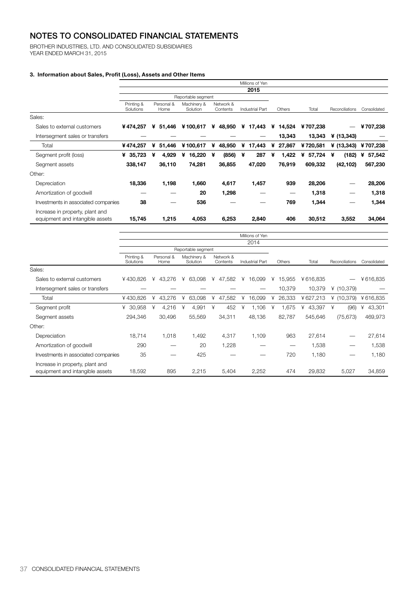BROTHER INDUSTRIES, LTD. AND CONSOLIDATED SUBSIDIARIES YEAR ENDED MARCH 31, 2015

# **3. Information about Sales, Profit (Loss), Assets and Other Items**

|                                                                    |                         |                    |                         |                       | Millions of Yen        |             |             |                                   |              |
|--------------------------------------------------------------------|-------------------------|--------------------|-------------------------|-----------------------|------------------------|-------------|-------------|-----------------------------------|--------------|
|                                                                    |                         |                    |                         |                       | 2015                   |             |             |                                   |              |
|                                                                    |                         |                    | Reportable segment      |                       |                        |             |             |                                   |              |
|                                                                    | Printing &<br>Solutions | Personal &<br>Home | Machinery &<br>Solution | Network &<br>Contents | <b>Industrial Part</b> | Others      | Total       | Reconciliations                   | Consolidated |
| Sales:                                                             |                         |                    |                         |                       |                        |             |             |                                   |              |
| Sales to external customers                                        | ¥474,257                | ¥ 51,446           | ¥100,617                | ¥ 48,950              | ¥ 17,443               | ¥ 14,524    | ¥707,238    |                                   | ¥707,238     |
| Intersegment sales or transfers                                    |                         |                    |                         |                       |                        | 13,343      | 13,343      | ¥ $(13,343)$                      |              |
| Total                                                              | ¥474,257                | 51,446<br>¥        | ¥100,617                | ¥<br>48,950           | 17,443<br>¥            | 27,867<br>¥ | ¥720,581    | ¥ $(13, 343)$                     | ¥707,238     |
| Segment profit (loss)                                              | 35,723<br>¥             | 4,929<br>¥         | 16,220<br>¥             | (856)<br>¥            | ¥<br>287               | 1,422<br>¥  | ¥<br>57,724 | ¥<br>(182)                        | 57,542<br>¥  |
| Segment assets                                                     | 338,147                 | 36,110             | 74,281                  | 36,855                | 47,020                 | 76,919      | 609,332     | (42, 102)                         | 567,230      |
| Other:                                                             |                         |                    |                         |                       |                        |             |             |                                   |              |
| Depreciation                                                       | 18,336                  | 1,198              | 1,660                   | 4,617                 | 1,457                  | 939         | 28,206      |                                   | 28,206       |
| Amortization of goodwill                                           |                         |                    | 20                      | 1,298                 |                        |             | 1,318       | $\overbrace{\phantom{123221111}}$ | 1,318        |
| Investments in associated companies                                | 38                      |                    | 536                     |                       |                        | 769         | 1,344       |                                   | 1,344        |
| Increase in property, plant and<br>equipment and intangible assets | 15,745                  | 1,215              | 4,053                   | 6,253                 | 2,840                  | 406         | 30,512      | 3,552                             | 34,064       |

|                                                                    |                         |   |                    |   |                         |   |                       |   | Millions of Yen |   |        |             |   |                   |              |
|--------------------------------------------------------------------|-------------------------|---|--------------------|---|-------------------------|---|-----------------------|---|-----------------|---|--------|-------------|---|-------------------|--------------|
|                                                                    |                         |   |                    |   |                         |   |                       |   | 2014            |   |        |             |   |                   |              |
|                                                                    |                         |   |                    |   | Reportable segment      |   |                       |   |                 |   |        |             |   |                   |              |
|                                                                    | Printing &<br>Solutions |   | Personal &<br>Home |   | Machinery &<br>Solution |   | Network &<br>Contents |   | Industrial Part |   | Others | Total       |   | Reconciliations   | Consolidated |
| Sales:                                                             |                         |   |                    |   |                         |   |                       |   |                 |   |        |             |   |                   |              |
| Sales to external customers                                        | ¥430,826                | ¥ | 43,276             | ¥ | 63,098                  |   | ¥ 47,582              |   | ¥ 16,099        | ¥ | 15,955 | ¥616,835    |   |                   | ¥616,835     |
| Intersegment sales or transfers                                    |                         |   |                    |   |                         |   |                       |   |                 |   | 10,379 | 10,379      |   | (10, 379)         |              |
| Total                                                              | ¥430,826                | ¥ | 43,276             | ¥ | 63,098                  | ¥ | 47,582                | ¥ | 16,099          | ¥ | 26,333 | ¥627,213    |   | (10, 379)         | ¥616.835     |
| Segment profit                                                     | 30.958<br>¥             | ¥ | 4,216              | ¥ | 4,991                   | ¥ | 452                   | ¥ | 1,106           | ¥ | 1,675  | 43,397<br>¥ | ¥ | (96)              | 43,301<br>¥  |
| Segment assets                                                     | 294,346                 |   | 30,496             |   | 55,569                  |   | 34,311                |   | 48,136          |   | 82.787 | 545,646     |   | (75, 673)         | 469,973      |
| Other:                                                             |                         |   |                    |   |                         |   |                       |   |                 |   |        |             |   |                   |              |
| Depreciation                                                       | 18,714                  |   | 1,018              |   | 1,492                   |   | 4,317                 |   | 1,109           |   | 963    | 27,614      |   | —                 | 27,614       |
| Amortization of goodwill                                           | 290                     |   |                    |   | 20                      |   | 1,228                 |   |                 |   |        | 1,538       |   | $\hspace{0.05cm}$ | 1,538        |
| Investments in associated companies                                | 35                      |   |                    |   | 425                     |   |                       |   |                 |   | 720    | 1,180       |   | —                 | 1,180        |
| Increase in property, plant and<br>equipment and intangible assets | 18,592                  |   | 895                |   | 2,215                   |   | 5,404                 |   | 2,252           |   | 474    | 29.832      |   | 5,027             | 34,859       |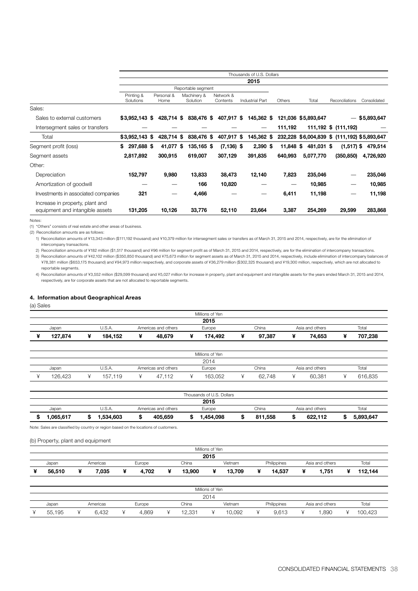|                                                                    |                         |                    |                         |                       | Thousands of U.S. Dollars |           |                                              |                      |                 |
|--------------------------------------------------------------------|-------------------------|--------------------|-------------------------|-----------------------|---------------------------|-----------|----------------------------------------------|----------------------|-----------------|
|                                                                    |                         |                    |                         |                       | 2015                      |           |                                              |                      |                 |
|                                                                    |                         |                    | Reportable segment      |                       |                           |           |                                              |                      |                 |
|                                                                    | Printing &<br>Solutions | Personal &<br>Home | Machinery &<br>Solution | Network &<br>Contents | Industrial Part           | Others    | Total                                        | Reconciliations      | Consolidated    |
| Sales:                                                             |                         |                    |                         |                       |                           |           |                                              |                      |                 |
| Sales to external customers                                        | $$3,952,143$ \$         | 428,714 \$         |                         | 838,476 \$407,917 \$  | 145,362 \$                |           | 121,036 \$5,893,647                          |                      | $-$ \$5,893,647 |
| Intersegment sales or transfers                                    |                         |                    |                         |                       |                           | 111,192   |                                              | 111,192 \$ (111,192) |                 |
| Total                                                              | \$3,952,143 \$          | 428,714 \$         | 838,476 \$              | 407,917 \$            | 145,362 \$                |           | 232,228 \$6,004,839 \$ (111,192) \$5,893,647 |                      |                 |
| Segment profit (loss)                                              | 297.688 \$<br>\$        | 41,077 \$          | 135,165 \$              | $(7, 136)$ \$         | $2,390$ \$                | 11,848 \$ | 481,031 \$                                   | $(1,517)$ \$         | 479,514         |
| Segment assets                                                     | 2,817,892               | 300,915            | 619,007                 | 307,129               | 391,835                   | 640,993   | 5,077,770                                    | (350, 850)           | 4,726,920       |
| Other:                                                             |                         |                    |                         |                       |                           |           |                                              |                      |                 |
| Depreciation                                                       | 152,797                 | 9,980              | 13,833                  | 38,473                | 12,140                    | 7,823     | 235,046                                      |                      | 235,046         |
| Amortization of goodwill                                           |                         | —                  | 166                     | 10,820                |                           |           | 10,985                                       |                      | 10,985          |
| Investments in associated companies                                | 321                     |                    | 4,466                   |                       |                           | 6,411     | 11,198                                       |                      | 11,198          |
| Increase in property, plant and<br>equipment and intangible assets | 131,205                 | 10,126             | 33,776                  | 52,110                | 23,664                    | 3,387     | 254,269                                      | 29,599               | 283,868         |

Notes:

(1) "Others" consists of real estate and other areas of business.

(2) Reconciliation amounts are as follows:

1) Reconciliation amounts of ¥13,343 million (\$111,192 thousand) and ¥10,379 million for intersegment sales or transfers as of March 31, 2015 and 2014, respectively, are for the elimination of intercompany transactions.

2) Reconciliation amounts of ¥182 million (\$1,517 thousand) and ¥96 million for segment profit as of March 31, 2015 and 2014, respectively, are for the elimination of intercompany transactions.

3) Reconciliation amounts of ¥42,102 million (\$350,850 thousand) and ¥75,673 million for segment assets as of March 31, 2015 and 2014, respectively, include elimination of intercompany balances of ¥78,381 million (\$653,175 thousand) and ¥94,973 million respectively, and corporate assets of ¥36,279 million (\$302,325 thousand) and ¥19,300 million, respectively, which are not allocated to reportable segments.

4) Reconciliation amounts of ¥3,552 million (\$29,599 thousand) and ¥5,027 million for increase in property, plant and equipment and intangible assets for the years ended March 31, 2015 and 2014, respectively, are for corporate assets that are not allocated to reportable segments.

# **4. Information about Geographical Areas**

(a) Sales

|         |   |         |                     | Millions of Yen |   |        |                 |         |
|---------|---|---------|---------------------|-----------------|---|--------|-----------------|---------|
|         |   |         |                     | 2015            |   |        |                 |         |
| Japan   |   | U.S.A.  | Americas and others | Europe          |   | China  | Asia and others | Total   |
| 127.874 | v | 184.152 | 48.679              | 174.492         | ¥ | 97.387 | 74.653          | 707.238 |
|         |   |         |                     |                 |   |        |                 |         |

|                                        |         |  |        |  |        |      | Millions of Yen |        |                 |         |
|----------------------------------------|---------|--|--------|--|--------|------|-----------------|--------|-----------------|---------|
|                                        |         |  |        |  |        | 2014 |                 |        |                 |         |
| U.S.A.<br>Americas and others<br>Japan |         |  |        |  |        |      | Europe          | China  | Asia and others | Total   |
|                                        | 126.423 |  | 57.119 |  | 47,112 |      | 163,052         | 62,748 | 60.381          | 616,835 |

|           |           |                     | Thousands of U.S. Dollars |              |                 |           |
|-----------|-----------|---------------------|---------------------------|--------------|-----------------|-----------|
|           |           |                     | 2015                      |              |                 |           |
| Japan     | J.S.A.    | Americas and others | Europe                    | China        | Asia and others | Total     |
| 1.065.617 | 1.534.603 | 405.659             | 1.454.098                 | 811.558<br>S | 622.112         | 5.893.647 |

Note: Sales are classified by country or region based on the locations of customers.

(b) Property, plant and equipment

|   |        |   |          |   |        |   |        | Millions of Yen |         |   |             |   |                 |   |         |
|---|--------|---|----------|---|--------|---|--------|-----------------|---------|---|-------------|---|-----------------|---|---------|
|   |        |   |          |   |        |   |        | 2015            |         |   |             |   |                 |   |         |
|   | Japan  |   | Americas |   | Europe |   | China  |                 | Vietnam |   | Philippines |   | Asia and others |   | Total   |
| ¥ | 56,510 | ¥ | 7,035    | ¥ | 4,702  | ¥ | 13.900 | ¥               | 13,709  | ¥ | 14,537      | ¥ | 1,751           | ¥ | 112.144 |
|   |        |   |          |   |        |   |        |                 |         |   |             |   |                 |   |         |
|   |        |   |          |   |        |   |        | Millions of Yen |         |   |             |   |                 |   |         |
|   |        |   |          |   |        |   |        | 2014            |         |   |             |   |                 |   |         |
|   | Japan  |   | Americas |   | Europe |   | China  |                 | Vietnam |   | Philippines |   | Asia and others |   | Total   |
|   | 55,195 | ¥ | 6,432    |   | 4.869  |   | 12.331 | ¥               | 10,092  |   | 9.613       |   | ,890            |   | 100.423 |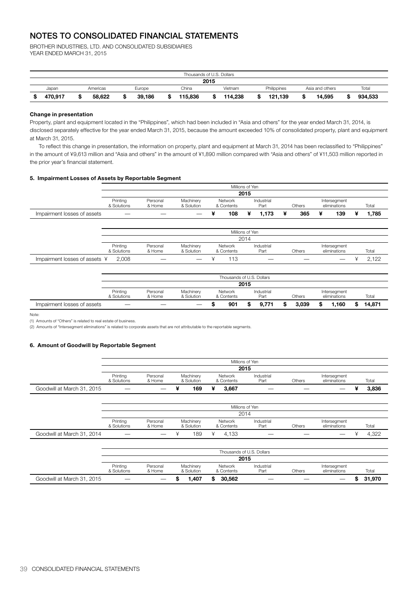BROTHER INDUSTRIES, LTD. AND CONSOLIDATED SUBSIDIARIES YEAR ENDED MARCH 31, 2015

| Thousands of U.S. Dollars |   |          |  |        |  |         |      |         |    |             |  |                 |   |         |
|---------------------------|---|----------|--|--------|--|---------|------|---------|----|-------------|--|-----------------|---|---------|
|                           |   |          |  |        |  |         | 2015 |         |    |             |  |                 |   |         |
| Japan                     |   | Americas |  | Europe |  | China   |      | Vietnam |    | Philippines |  | Asia and others |   | Total   |
| 470.917                   | S | 58.622   |  | 39.186 |  | 115,836 |      | 114.238 | \$ | 121.139     |  | 14.595          | s | 934.533 |

# **Change in presentation**

Property, plant and equipment located in the "Philippines", which had been included in "Asia and others" for the year ended March 31, 2014, is disclosed separately effective for the year ended March 31, 2015, because the amount exceeded 10% of consolidated property, plant and equipment at March 31, 2015.

To reflect this change in presentation, the information on property, plant and equipment at March 31, 2014 has been reclassified to "Philippines" in the amount of ¥9,613 million and "Asia and others" in the amount of ¥1,890 million compared with "Asia and others" of ¥11,503 million reported in the prior year's financial statement.

# **5. Impairment Losses of Assets by Reportable Segment**

|                               |                         |                    |                         |   | Millions of Yen              |      |                    |   |               |    |                              |   |        |
|-------------------------------|-------------------------|--------------------|-------------------------|---|------------------------------|------|--------------------|---|---------------|----|------------------------------|---|--------|
|                               |                         |                    |                         |   |                              | 2015 |                    |   |               |    |                              |   |        |
|                               | Printing<br>& Solutions | Personal<br>& Home | Machinery<br>& Solution |   | <b>Network</b><br>& Contents |      | Industrial<br>Part |   | <b>Others</b> |    | Intersegment<br>eliminations |   | Total  |
| Impairment losses of assets   |                         |                    |                         | ¥ | 108                          | ¥    | 1,173              | ¥ | 365           | ¥  | 139                          | ¥ | 1,785  |
|                               |                         |                    |                         |   |                              |      |                    |   |               |    |                              |   |        |
|                               |                         |                    |                         |   | Millions of Yen              |      |                    |   |               |    |                              |   |        |
|                               |                         |                    |                         |   |                              | 2014 |                    |   |               |    |                              |   |        |
|                               | Printing                | Personal           | Machinery               |   | Network                      |      | Industrial         |   |               |    | Intersegment                 |   |        |
|                               | & Solutions             | & Home             | & Solution              |   | & Contents                   |      | Part               |   | Others        |    | eliminations                 |   | Total  |
| Impairment losses of assets ¥ | 2,008                   |                    |                         | ¥ | 113                          |      |                    |   |               |    |                              | ¥ | 2,122  |
|                               |                         |                    |                         |   | Thousands of U.S. Dollars    |      |                    |   |               |    |                              |   |        |
|                               |                         |                    |                         |   |                              | 2015 |                    |   |               |    |                              |   |        |
|                               |                         |                    |                         |   |                              |      |                    |   |               |    |                              |   |        |
|                               | Printing<br>& Solutions | Personal<br>& Home | Machinery<br>& Solution |   | <b>Network</b><br>& Contents |      | Industrial<br>Part |   | <b>Others</b> |    | Intersegment<br>eliminations |   | Total  |
| Impairment losses of assets   |                         |                    |                         | S | 901                          | S    | 9,771              | S | 3,039         | \$ | 1,160                        | S | 14,871 |

Note:

(1) Amounts of "Others" is related to real estate of business.

(2) Amounts of "Intersegment eliminations" is related to corporate assets that are not attributable to the reportable segments.

## **6. Amount of Goodwill by Reportable Segment**

|                            |                         |                    |                         | Millions of Yen              |                    |        |                              |    |        |
|----------------------------|-------------------------|--------------------|-------------------------|------------------------------|--------------------|--------|------------------------------|----|--------|
|                            |                         |                    |                         | 2015                         |                    |        |                              |    |        |
|                            | Printing<br>& Solutions | Personal<br>& Home | Machinery<br>& Solution | <b>Network</b><br>& Contents | Industrial<br>Part | Others | Intersegment<br>eliminations |    | Total  |
| Goodwill at March 31, 2015 |                         |                    | 169<br>¥                | ¥<br>3,667                   |                    |        |                              | ¥  | 3,836  |
|                            |                         |                    |                         | Millions of Yen              |                    |        |                              |    |        |
|                            |                         |                    |                         | 2014                         |                    |        |                              |    |        |
|                            | Printing<br>& Solutions | Personal<br>& Home | Machinery<br>& Solution | <b>Network</b><br>& Contents | Industrial<br>Part | Others | Intersegment<br>eliminations |    | Total  |
| Goodwill at March 31, 2014 |                         |                    | 189                     | 4,133<br>¥                   |                    |        |                              |    | 4,322  |
|                            |                         |                    |                         |                              |                    |        |                              |    |        |
|                            |                         |                    |                         | Thousands of U.S. Dollars    |                    |        |                              |    |        |
|                            |                         |                    |                         | 2015                         |                    |        |                              |    |        |
|                            | Printina<br>& Solutions | Personal<br>& Home | Machinery<br>& Solution | <b>Network</b><br>& Contents | Industrial<br>Part | Others | Intersegment<br>eliminations |    | Total  |
| Goodwill at March 31, 2015 |                         |                    | 1,407<br>S              | 30,562<br>S                  |                    |        |                              | \$ | 31,970 |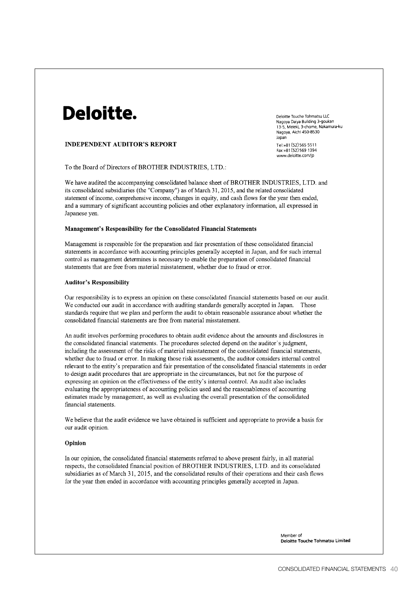# Deloitte.

# **INDEPENDENT AUDITOR'S REPORT**

Deloitte Touche Tohmatsu LLC Nagoya Daiya Building 3-goukan 13-5, Meieki, 3-chome, Nakamura-ku Nagoya, Aichi 450-8530 Japan Tel: 21 (52) 565 5511 Fax: +81 (52) 569 1394 www.deloitte.com/jp

To the Board of Directors of BROTHER INDUSTRIES, LTD.:

We have audited the accompanying consolidated balance sheet of BROTHER INDUSTRIES, LTD. and its consolidated subsidiaries (the "Company") as of March 31, 2015, and the related consolidated statement of income, comprehensive income, changes in equity, and cash flows for the year then ended, and a summary of significant accounting policies and other explanatory information, all expressed in Japanese ven.

# Management's Responsibility for the Consolidated Financial Statements

Management is responsible for the preparation and fair presentation of these consolidated financial statements in accordance with accounting principles generally accepted in Japan, and for such internal control as management determines is necessary to enable the preparation of consolidated financial statements that are free from material misstatement, whether due to fraud or error.

# **Auditor's Responsibility**

Our responsibility is to express an opinion on these consolidated financial statements based on our audit. We conducted our audit in accordance with auditing standards generally accepted in Japan. Those standards require that we plan and perform the audit to obtain reasonable assurance about whether the consolidated financial statements are free from material misstatement.

An audit involves performing procedures to obtain audit evidence about the amounts and disclosures in the consolidated financial statements. The procedures selected depend on the auditor's judgment. including the assessment of the risks of material misstatement of the consolidated financial statements, whether due to fraud or error. In making those risk assessments, the auditor considers internal control relevant to the entity's preparation and fair presentation of the consolidated financial statements in order to design audit procedures that are appropriate in the circumstances, but not for the purpose of expressing an opinion on the effectiveness of the entity's internal control. An audit also includes evaluating the appropriateness of accounting policies used and the reasonableness of accounting estimates made by management, as well as evaluating the overall presentation of the consolidated financial statements.

We believe that the audit evidence we have obtained is sufficient and appropriate to provide a basis for our audit opinion.

# Opinion

In our opinion, the consolidated financial statements referred to above present fairly, in all material respects, the consolidated financial position of BROTHER INDUSTRIES, LTD. and its consolidated subsidiaries as of March 31, 2015, and the consolidated results of their operations and their cash flows for the year then ended in accordance with accounting principles generally accepted in Japan.

> Member of Deloitte Touche Tohmatsu Limited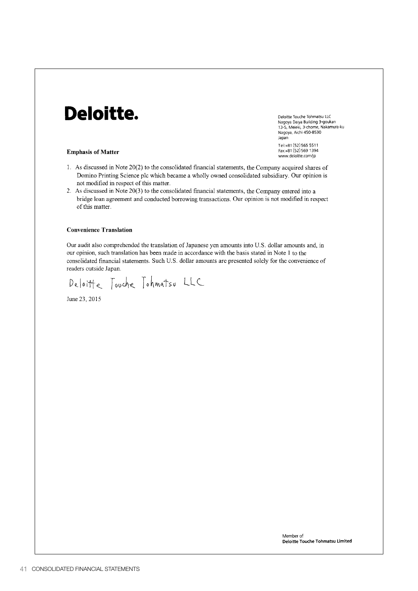# Deloitte.

# **Emphasis of Matter**

Deloitte Touche Tohmatsu LLC Nagoya Daiya Building 3-goukan<br>13-5, Meieki, 3-chome, Nakamura-ku Nagoya, Aichi 450-8530 Japan Tel:+81 (52) 565 5511<br>Fax:+81 (52) 569 1394

www.deloitte.com/jp

1. As discussed in Note  $20(2)$  to the consolidated financial statements, the Company acquired shares of Domino Printing Science plc which became a wholly owned consolidated subsidiary. Our opinion is not modified in respect of this matter.

2. As discussed in Note 20(3) to the consolidated financial statements, the Company entered into a bridge loan agreement and conducted borrowing transactions. Our opinion is not modified in respect of this matter.

# **Convenience Translation**

Our audit also comprehended the translation of Japanese yen amounts into U.S. dollar amounts and, in our opinion, such translation has been made in accordance with the basis stated in Note 1 to the consolidated financial statements. Such U.S. dollar amounts are presented solely for the convenience of readers outside Japan.

Deloitte Touche Tohmatso LLC

June 23, 2015

Member of Deloitte Touche Tohmatsu Limited